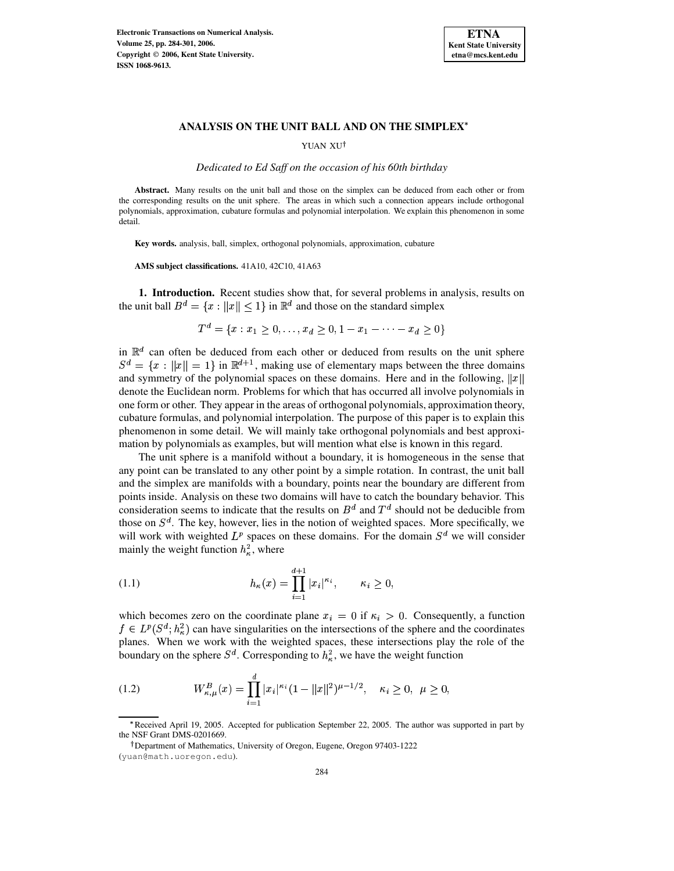

YUAN XU<sup>†</sup>

*Dedicated to Ed Saff on the occasion of his 60th birthday*

**Abstract.** Many results on the unit ball and those on the simplex can be deduced from each other or from the corresponding results on the unit sphere. The areas in which such a connection appears include orthogonal polynomials, approximation, cubature formulas and polynomial interpolation. We explain this phenomenon in some detail.

**Key words.** analysis, ball, simplex, orthogonal polynomials, approximation, cubature

**AMS subject classifications.** 41A10, 42C10, 41A63

**1. Introduction.** Recent studies show that, for several problems in analysis, results on the unit ball  $B^d = \{x : ||x|| \leq 1\}$  in  $\mathbb{R}^d$  and those on the standard simplex

$$
T^d = \{x : x_1 \ge 0, \dots, x_d \ge 0, 1 - x_1 - \dots - x_d \ge 0\}
$$

in  $\mathbb{R}^d$  can often be deduced from each other or deduced from results on the unit sphere  $S^d = \{x : ||x|| = 1\}$  in  $\mathbb{R}^{d+1}$ , making use of elementary maps between the three domains and symmetry of the polynomial spaces on these domains. Here and in the following,  $||x||$ denote the Euclidean norm. Problems for which that has occurred all involve polynomials in one form or other. They appear in the areas of orthogonal polynomials, approximation theory, cubature formulas, and polynomial interpolation. The purpose of this paper is to explain this phenomenon in some detail. We will mainly take orthogonal polynomials and best approximation by polynomials as examples, but will mention what else is known in this regard.

The unit sphere is a manifold without a boundary, it is homogeneous in the sense that any point can be translated to any other point by a simple rotation. In contrast, the unit ball and the simplex are manifolds with a boundary, points near the boundary are different from points inside. Analysis on these two domains will have to catch the boundary behavior. This consideration seems to indicate that the results on  $B^d$  and  $T^d$  should not be deducible from those on  $S<sup>d</sup>$ . The key, however, lies in the notion of weighted spaces. More specifically, we will work with weighted  $L^p$  spaces on these domains. For the domain  $S^d$  we will consider mainly the weight function  $h_{\kappa}^2$ , where

<span id="page-0-0"></span>(1.1) 
$$
h_{\kappa}(x) = \prod_{i=1}^{d+1} |x_i|^{\kappa_i}, \qquad \kappa_i \geq 0,
$$

which becomes zero on the coordinate plane  $x_i = 0$  if  $\kappa_i > 0$ . Consequently, a function  $f \in L^p(S^d; h^2_{\kappa})$  can have singularities on the intersections of the sphere and the coordinates planes. When we work with the weighted spaces, these intersections play the role of the boundary on the sphere  $S^d$ . Corresponding to  $h^2_{\kappa}$ , we have the weight function

<span id="page-0-1"></span>(1.2) 
$$
W_{\kappa,\mu}^{B}(x) = \prod_{i=1}^{d} |x_i|^{\kappa_i} (1 - ||x||^2)^{\mu - 1/2}, \quad \kappa_i \ge 0, \ \mu \ge 0,
$$

<sup>^</sup> Received April 19, 2005. Accepted for publication September 22, 2005. The author was supported in part by the NSF Grant DMS-0201669.

Department of Mathematics, University of Oregon, Eugene, Oregon 97403-1222

<sup>(</sup>yuan@math.uoregon.edu).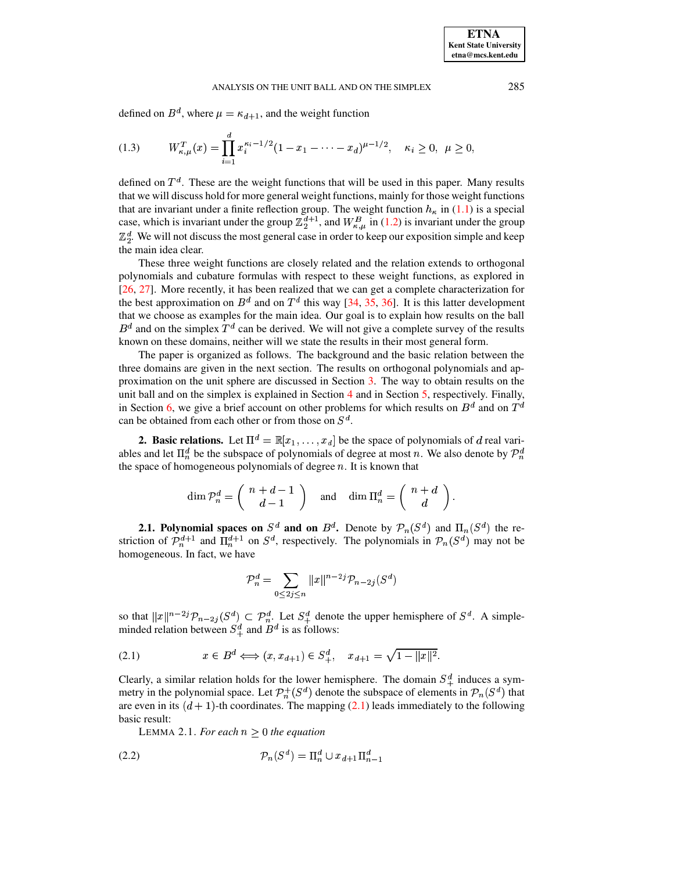<span id="page-1-3"></span>defined on  $B^d$ , where  $\mu = \kappa_{d+1}$ , and the weight function

$$
(1.3) \t W_{\kappa,\mu}^T(x) = \prod_{i=1}^d x_i^{\kappa_i - 1/2} (1 - x_1 - \dots - x_d)^{\mu - 1/2}, \quad \kappa_i \ge 0, \ \mu \ge 0,
$$

defined on  $T<sup>d</sup>$ . These are the weight functions that will be used in this paper. Many results that we will discuss hold for more general weight functions, mainly for those weight functions that are invariant under a finite reflection group. The weight function  $h_{\kappa}$  in [\(1.1\)](#page-0-0) is a special case, which is invariant under the group  $\mathbb{Z}_2^{d+1}$ , and  $W_{\kappa,\mu}^B$  in [\(1.2\)](#page-0-1) is invariant under the group  $\mathbb{Z}_2^d$ . We will not discuss the most general case in order to keep our exposition simple and keep <sup>&</sup>lt; the main idea clear.

These three weight functions are closely related and the relation extends to orthogonal polynomials and cubature formulas with respect to these weight functions, as explored in [\[26,](#page-16-0) [27\]](#page-16-1). More recently, it has been realized that we can get a complete characterization for the best approximation on  $B^d$  and on  $T^d$  this way [\[34,](#page-17-0) [35,](#page-17-1) [36\]](#page-17-2). It is this latter development that we choose as examples for the main idea. Our goal is to explain how results on the ball  $B^d$  and on the simplex  $T^d$  can be derived. We will not give a complete survey of the results known on these domains, neither will we state the results in their most general form.

The paper is organized as follows. The background and the basic relation between the three domains are given in the next section. The results on orthogonal polynomials and approximation on the unit sphere are discussed in Section [3.](#page-2-0) The way to obtain results on the unit ball and on the simplex is explained in Section  $\frac{4}{1}$  $\frac{4}{1}$  $\frac{4}{1}$  and in Section  $\frac{5}{1}$ , respectively. Finally, in Section [6,](#page-14-0) we give a brief account on other problems for which results on  $B^d$  and on  $T^d$ can be obtained from each other or from those on  $S^d$ .

**2. Basic relations.** Let  $\Pi^d = \mathbb{R}[x_1, \dots, x_d]$  be the space of polynomials of d real variables and let  $\prod_n^d$  be the subspace of polynomials of degree at most n. We also denote by  $\mathcal{P}_n^d$ the space of homogeneous polynomials of degree  $n$ . It is known that

$$
\dim \mathcal{P}_n^d = \left( \begin{array}{c} n+d-1 \\ d-1 \end{array} \right) \quad \text{and} \quad \dim \Pi_n^d = \left( \begin{array}{c} n+d \\ d \end{array} \right).
$$

**2.1. Polynomial spaces on**  $S^d$  **and on**  $B^d$ **. Denote by**  $\mathcal{P}_n(S^d)$  **and**  $\Pi_n(S^d)$  **the re**striction of  $\mathcal{P}_n^{d+1}$  and  $\Pi_n^{d+1}$  on  $S^d$ , respectively. The polynomials in  $\mathcal{P}_n(S^d)$  may not be homogeneous. In fact, we have

<span id="page-1-0"></span>
$$
\mathcal{P}_n^d = \sum_{0 \le 2j \le n} ||x||^{n-2j} \mathcal{P}_{n-2j}(S^d)
$$

so that  $||x||^{n-2j} \mathcal{P}_{n-2j}(S^d) \subset \mathcal{P}_n^d$ . Let  $S_+^d$  denote the upper hemisphere of  $S^d$ . A simpleminded relation between  $S^d_+$  and  $B^d$  is as follows:

(2.1) 
$$
x \in B^d \iff (x, x_{d+1}) \in S_+^d, \quad x_{d+1} = \sqrt{1 - ||x||^2}.
$$

<span id="page-1-1"></span>Clearly, a similar relation holds for the lower hemisphere. The domain  $S_+^d$  induces a symmetry in the polynomial space. Let  $\mathcal{P}_n^+(S^d)$  denote the subspace of elements in  $\mathcal{P}_n(S^d)$  that are even in its  $(d + 1)$ -th coordinates. The mapping [\(2.1\)](#page-1-0) leads immediately to the following basic result:

<span id="page-1-2"></span>LEMMA 2.1. *For each*  $n \geq 0$  *the equation* 

$$
(2.2)\qquad \qquad \mathcal{P}_n(S^d) = \Pi_n^d \cup x_{d+1} \Pi_{n-1}^d
$$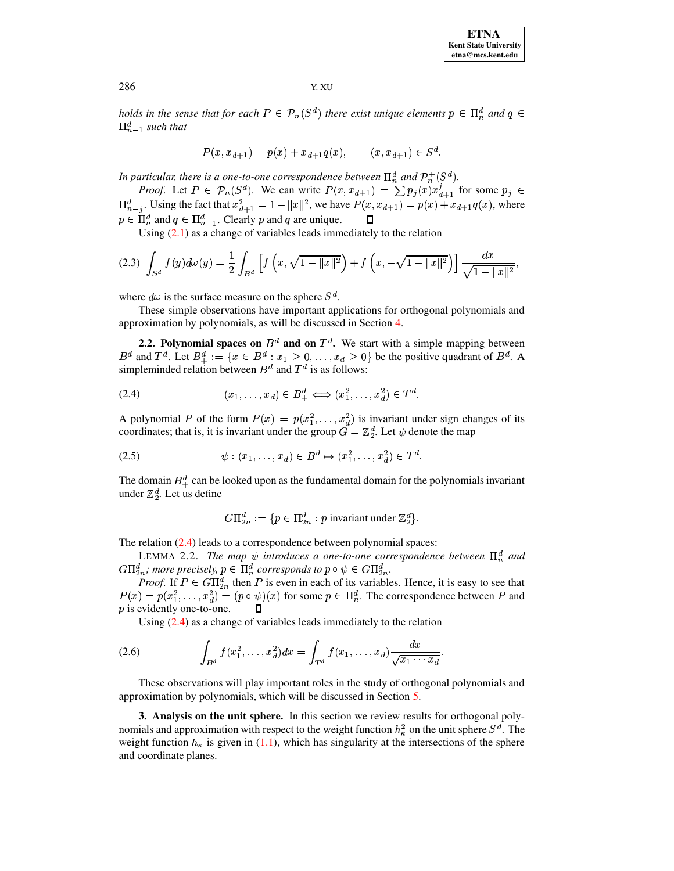*holds* in the sense that for each  $P \in \mathcal{P}_n(S^d)$  there exist unique elements  $p \in \Pi_n^d$  and  $q \in$  $\Pi_{n-1}^d$  such that

<span id="page-2-2"></span>
$$
P(x, x_{d+1}) = p(x) + x_{d+1}q(x), \qquad (x, x_{d+1}) \in S^d.
$$

In particular, there is a one-to-one correspondence between  $\Pi^d_n$  and  $\mathcal{P}^+_n(S^d)$ .

*Proof.* Let  $P \in \mathcal{P}_n(S^d)$ . We can write  $P(x, x_{d+1}) = \sum p_j(x) x_{d+1}^j$  for some  $p_j \in$  $\Pi_{n-j}^d$ . Using the fact that  $x_{d+1}^2 = 1 - ||x||^2$ , we have  $P(x, x_{d+1}) = p(x) + x_{d+1}q(x)$ , where  $p \in \Pi_n^d$  and  $q \in \Pi_{n-1}^d$ . Clearly p and q are unique.

Using  $(2.1)$  as a change of variables leads immediately to the relation

$$
(2.3)\ \int_{S^d} f(y) d\omega(y) = \frac{1}{2} \int_{B^d} \left[ f\left(x, \sqrt{1 - \|x\|^2}\right) + f\left(x, -\sqrt{1 - \|x\|^2}\right) \right] \frac{dx}{\sqrt{1 - \|x\|^2}},
$$

where  $d\omega$  is the surface measure on the sphere  $S^d$ .

These simple observations have important applications for orthogonal polynomials and approximation by polynomials, as will be discussed in Section [4.](#page-6-0)

**2.2. Polynomial spaces on**  $B^d$  and on  $T^d$ . We start with a simple mapping between  $B^d$  and  $T^d$ . Let  $B^d_+ := \{x \in B^d : x_1 \geq 0, \ldots, x_d \geq 0\}$  be the positive quadrant of  $B^d$ . A simpleminded relation between  $B^d$  and  $T^d$  is as follows:

$$
(2.4) \qquad (x_1,\ldots,x_d)\in B^d_+\Longleftrightarrow (x_1^2,\ldots,x_d^2)\in T^d.
$$

A polynomial P of the form  $P(x) = p(x_1^2, \ldots, x_d^2)$  is invariant under sign changes of its coordinates; that is, it is invariant under the group  $G = \mathbb{Z}_2^d$ . Let  $\psi$  denote the map

(2.5) 
$$
\psi: (x_1, \dots, x_d) \in B^d \mapsto (x_1^2, \dots, x_d^2) \in T^d.
$$

The domain  $B^d_+$  can be looked upon as the fundamental domain for the polynomials invariant under  $\mathbb{Z}_2^d$ . Let us define

<span id="page-2-4"></span><span id="page-2-3"></span><span id="page-2-1"></span>
$$
G\Pi_{2n}^d := \{ p \in \Pi_{2n}^d : p \text{ invariant under } \mathbb{Z}_2^d \}.
$$

<span id="page-2-5"></span>The relation [\(2.4\)](#page-2-1) leads to a correspondence between polynomial spaces:

LEMMA 2.2. *The map*  $\psi$  *introduces a one-to-one correspondence between*  $\Pi_n^d$  *and*  $G\Pi_{2n}^d$ ; more precisely,  $p \in \Pi_n^d$  corresponds to  $p \circ \psi \in G\Pi_{2n}^d$ .  $\frac{d}{2n}$ .

*Proof.* If  $P \in G\Pi_{2n}^d$  then P is even in each of its variables. Hence, it is easy to see that  $P(x) = p(x_1^2, \dots, x_d^2) = (p \circ \psi)(x)$  for some  $p \in \Pi_n^d$ . The correspondence between P and  $p$  is evidently one-to-one. Д

Using [\(2.4\)](#page-2-1) as a change of variables leads immediately to the relation

(2.6) 
$$
\int_{B^d} f(x_1^2, \dots, x_d^2) dx = \int_{T^d} f(x_1, \dots, x_d) \frac{dx}{\sqrt{x_1 \cdots x_d}}.
$$

These observations will play important roles in the study of orthogonal polynomials and approximation by polynomials, which will be discussed in Section [5.](#page-10-0)

<span id="page-2-0"></span>**3. Analysis on the unit sphere.** In this section we review results for orthogonal polynomials and approximation with respect to the weight function  $h_{\kappa}^2$  on the unit sphere  $S^d$ . The weight function  $h_{\kappa}$  is given in [\(1.1\)](#page-0-0), which has singularity at the intersections of the sphere and coordinate planes.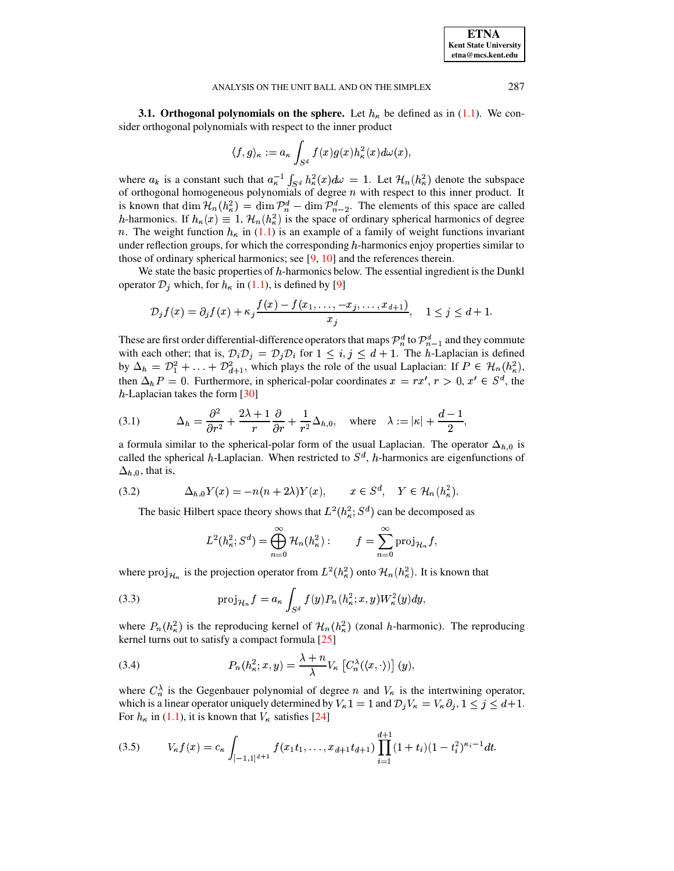**3.1. Orthogonal polynomials on the sphere.** Let  $h_{\kappa}$  be defined as in (1.1). We consider orthogonal polynomials with respect to the inner product

$$
\langle f, g \rangle_{\kappa} := a_{\kappa} \int_{S^d} f(x) g(x) h_{\kappa}^2(x) d\omega(x),
$$

where  $a_k$  is a constant such that  $a_k^{-1} \int_{S^d} h_{\kappa}^2(x) d\omega = 1$ . Let  $\mathcal{H}_n(h_{\kappa}^2)$  denote the subspace of orthogonal homogeneous polynomials of degree  $n$  with respect to this inner product. It is known that dim  $\mathcal{H}_n(h_\kappa^2) = \dim \mathcal{P}_n^d - \dim \mathcal{P}_{n-2}^d$ . The elements of this space are called h-harmonics. If  $h_{\kappa}(x) \equiv 1$ ,  $\mathcal{H}_n(h_{\kappa}^2)$  is the space of ordinary spherical harmonics of degree *n*. The weight function  $h_{\kappa}$  in (1.1) is an example of a family of weight functions invariant under reflection groups, for which the corresponding  $h$ -harmonics enjoy properties similar to those of ordinary spherical harmonics; see  $[9, 10]$  and the references therein.

We state the basic properties of  $h$ -harmonics below. The essential ingredient is the Dunkl operator  $\mathcal{D}_j$  which, for  $h_{\kappa}$  in (1.1), is defined by [9]

$$
\mathcal{D}_j f(x) = \partial_j f(x) + \kappa_j \frac{f(x) - f(x_1, \dots, -x_j, \dots, x_{d+1})}{x_j}, \quad 1 \le j \le d+1.
$$

These are first order differential-difference operators that maps  $\mathcal{P}_n^d$  to  $\mathcal{P}_{n-1}^d$  and they commute with each other; that is,  $\mathcal{D}_i \mathcal{D}_j = \mathcal{D}_j \mathcal{D}_i$  for  $1 \leq i, j \leq d+1$ . The *h*-Laplacian is defined by  $\Delta_h = \mathcal{D}_1^2 + \ldots + \mathcal{D}_{d+1}^2$ , which plays the role of the usual Laplacian: If  $P \in \mathcal{H}_n(h_\kappa^2)$ , then  $\Delta_h P = 0$ . Furthermore, in spherical-polar coordinates  $x = rx'$ ,  $r > 0$ ,  $x' \in S^d$ , the  $h$ -Laplacian takes the form [30]

<span id="page-3-2"></span>(3.1) 
$$
\Delta_h = \frac{\partial^2}{\partial r^2} + \frac{2\lambda + 1}{r} \frac{\partial}{\partial r} + \frac{1}{r^2} \Delta_{h,0}, \text{ where } \lambda := |\kappa| + \frac{d-1}{2},
$$

a formula similar to the spherical-polar form of the usual Laplacian. The operator  $\Delta_{h,0}$  is called the spherical h-Laplacian. When restricted to  $S<sup>d</sup>$ , h-harmonics are eigenfunctions of  $\Delta_{h,0}$ , that is,

<span id="page-3-4"></span>(3.2) 
$$
\Delta_{h,0} Y(x) = -n(n+2\lambda)Y(x), \qquad x \in S^d, \quad Y \in \mathcal{H}_n(h_\kappa^2).
$$

The basic Hilbert space theory shows that  $L^2(h_\kappa^2; S^d)$  can be decomposed as

<span id="page-3-1"></span><span id="page-3-0"></span>
$$
L^{2}(h_{\kappa}^{2}; S^{d}) = \bigoplus_{n=0}^{\infty} \mathcal{H}_{n}(h_{\kappa}^{2}) : \qquad f = \sum_{n=0}^{\infty} \text{proj}_{\mathcal{H}_{n}} f,
$$

where  $proj_{\mathcal{H}_n}$  is the projection operator from  $L^2(h_\kappa^2)$  onto  $\mathcal{H}_n(h_\kappa^2)$ . It is known that

(3.3) 
$$
\operatorname{proj}_{\mathcal{H}_n} f = a_\kappa \int_{S^d} f(y) P_n(h_\kappa^2; x, y) W_\kappa^2(y) dy,
$$

where  $P_n(h_\kappa^2)$  is the reproducing kernel of  $\mathcal{H}_n(h_\kappa^2)$  (zonal h-harmonic). The reproducing kernel turns out to satisfy a compact formula [25]

(3.4) 
$$
P_n(h_\kappa^2; x, y) = \frac{\lambda + n}{\lambda} V_\kappa \left[ C_n^{\lambda}(\langle x, \cdot \rangle) \right] (y),
$$

where  $C_n^{\lambda}$  is the Gegenbauer polynomial of degree *n* and  $V_{\kappa}$  is the intertwining operator, which is a linear operator uniquely determined by  $V_{\kappa}1 = 1$  and  $\mathcal{D}_j V_{\kappa} = V_{\kappa} \partial_j$ ,  $1 \le j \le d+1$ . For  $h_{\kappa}$  in (1.1), it is known that  $V_{\kappa}$  satisfies [24]

<span id="page-3-3"></span>
$$
(3.5) \t V_{\kappa} f(x) = c_{\kappa} \int_{[-1,1]^{d+1}} f(x_1 t_1, \ldots, x_{d+1} t_{d+1}) \prod_{i=1}^{d+1} (1+t_i) (1-t_i^2)^{\kappa_i-1} dt.
$$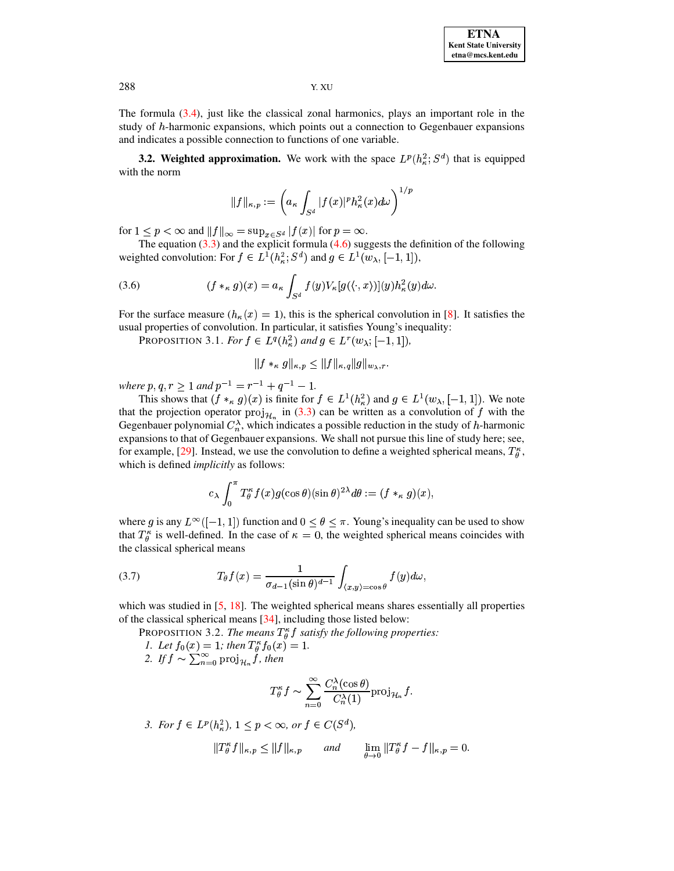The formula  $(3.4)$ , just like the classical zonal harmonics, plays an important role in the study of h-harmonic expansions, which points out a connection to Gegenbauer expansions and indicates a possible connection to functions of one variable.

**3.2. Weighted approximation.** We work with the space  $L^p(h^2)$ ;  $S^d$  that is equipped with the norm

<span id="page-4-0"></span>
$$
\|f\|_{\kappa,p}:=\left(a_{\kappa}\int_{S^d}|f(x)|^p h_{\kappa}^2(x)d\omega\right)^{1/p}
$$

for  $1 \le p < \infty$  and  $||f||_{\infty} = \sup_{x \in S^d} |f(x)|$  for  $p = \infty$ .

The equation  $(3.3)$  and the explicit formula  $(4.6)$  suggests the definition of the following weighted convolution: For  $f \in L^1(h_\kappa^2; S^d)$  and  $g \in L^1(w_\lambda, [-1, 1]),$ 

(3.6) 
$$
(f *_\kappa g)(x) = a_\kappa \int_{S^d} f(y) V_\kappa[g(\langle \cdot, x \rangle)](y) h_\kappa^2(y) d\omega.
$$

For the surface measure  $(h_{\kappa}(x) = 1)$ , this is the spherical convolution in [8]. It satisfies the usual properties of convolution. In particular, it satisfies Young's inequality:

PROPOSITION 3.1. For  $f \in L^q(h_\kappa^2)$  and  $g \in L^r(w_\lambda; [-1,1]),$ 

$$
||f *_{\kappa} g||_{\kappa,p} \leq ||f||_{\kappa,q} ||g||_{w_{\lambda},r}.
$$

where  $p, q, r \ge 1$  and  $p^{-1} = r^{-1} + q^{-1} - 1$ .

This shows that  $(f *_{\kappa} g)(x)$  is finite for  $f \in L^1(h_{\kappa}^2)$  and  $g \in L^1(w_{\lambda}, [-1, 1])$ . We note that the projection operator  $proj_{\mathcal{H}_n}$  in (3.3) can be written as a convolution of f with the Gegenbauer polynomial  $C_n^{\lambda}$ , which indicates a possible reduction in the study of h-harmonic expansions to that of Gegenbauer expansions. We shall not pursue this line of study here; see, for example, [29]. Instead, we use the convolution to define a weighted spherical means,  $T_a^{\kappa}$ , which is defined *implicitly* as follows:

$$
c_{\lambda} \int_0^{\pi} T_{\theta}^{\kappa} f(x) g(\cos \theta) (\sin \theta)^{2\lambda} d\theta := (f *_{\kappa} g)(x).
$$

where g is any  $L^{\infty}([-1, 1])$  function and  $0 \le \theta \le \pi$ . Young's inequality can be used to show that  $T_{\theta}^{\kappa}$  is well-defined. In the case of  $\kappa = 0$ , the weighted spherical means coincides with the classical spherical means

(3.7) 
$$
T_{\theta}f(x) = \frac{1}{\sigma_{d-1}(\sin \theta)^{d-1}} \int_{\langle x,y \rangle = \cos \theta} f(y) d\omega,
$$

<span id="page-4-1"></span>which was studied in  $[5, 18]$ . The weighted spherical means shares essentially all properties of the classical spherical means [34], including those listed below:

PROPOSITION 3.2. The means  $T_{\theta}^{\kappa} f$  satisfy the following properties: 1. Let  $f_0(x) = 1$ ; then  $T^{\kappa}_{\theta} f_0(x) = 1$ .<br>2. If  $f \sim \sum_{n=0}^{\infty} \text{proj}_{\mathcal{H}_n} f$ , then

$$
T_{\theta}^{\kappa} f \sim \sum_{n=0}^{\infty} \frac{C_n^{\lambda}(\cos \theta)}{C_n^{\lambda}(1)} \text{proj}_{\mathcal{H}_n} f.
$$

3. For  $f \in L^p(h_\kappa^2)$ ,  $1 \le p < \infty$ , or  $f \in C(S^d)$ ,

$$
||T_{\theta}^{\kappa}f||_{\kappa,p} \leq ||f||_{\kappa,p} \quad \text{and} \quad \lim_{\theta \to 0} ||T_{\theta}^{\kappa}f - f||_{\kappa,p} = 0.
$$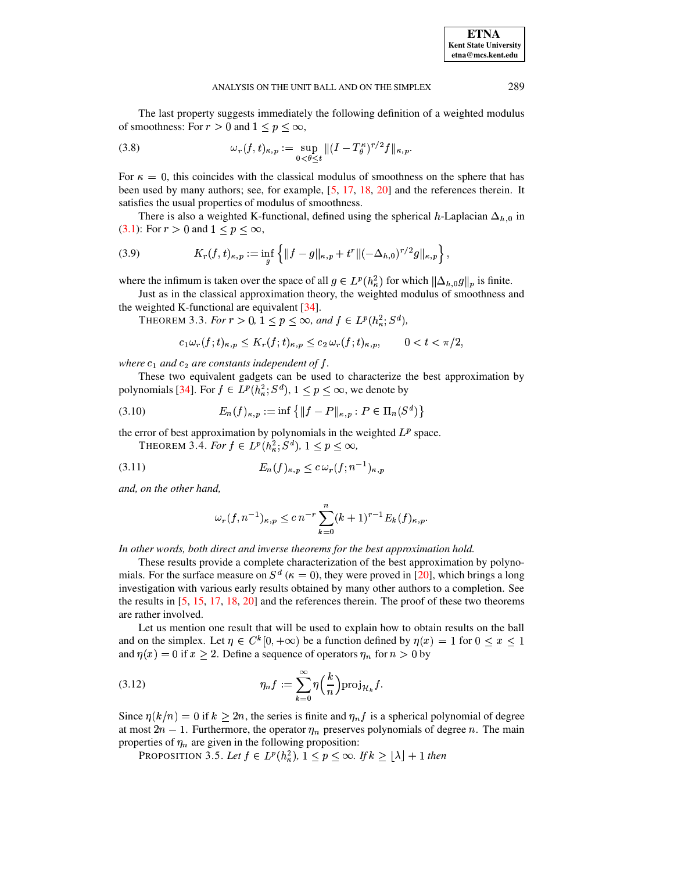<span id="page-5-0"></span>The last property suggests immediately the following definition of a weighted modulus of smoothness: For  $r > 0$  and  $1 \le p \le \infty$ ,

(3.8) 
$$
\omega_r(f,t)_{\kappa,p} := \sup_{0<\theta\leq t}||(I-T^{\kappa}_{\theta})^{r/2}f||_{\kappa,p}.
$$

For  $\kappa = 0$ , this coincides with the classical modulus of smoothness on the sphere that has been used by many authors; see, for example, [5, 17, 18, 20] and the references therein. It satisfies the usual properties of modulus of smoothness.

<span id="page-5-1"></span>There is also a weighted K-functional, defined using the spherical h-Laplacian  $\Delta_{h,0}$  in (3.1): For  $r > 0$  and  $1 < p < \infty$ ,

(3.9) 
$$
K_r(f, t)_{\kappa, p} := \inf_g \left\{ ||f - g||_{\kappa, p} + t^r ||(-\Delta_{h, 0})^{r/2} g||_{\kappa, p} \right\},
$$

where the infimum is taken over the space of all  $g \in L^p(h_\kappa^2)$  for which  $\|\Delta_{h,0}g\|_p$  is finite.

<span id="page-5-2"></span>Just as in the classical approximation theory, the weighted modulus of smoothness and the weighted K-functional are equivalent [34].

THEOREM 3.3. For  $r > 0$ ,  $1 \le p \le \infty$ , and  $f \in L^p(h_\kappa^2; S^d)$ ,

$$
c_1\omega_r(f;t)_{\kappa,p}\leq K_r(f;t)_{\kappa,p}\leq c_2\,\omega_r(f;t)_{\kappa,p},\qquad 0
$$

where  $c_1$  and  $c_2$  are constants independent of  $f$ .

These two equivalent gadgets can be used to characterize the best approximation by polynomials [34]. For  $f \in L^p(h^2_\kappa; S^d)$ ,  $1 \le p \le \infty$ , we denote by

(3.10) 
$$
E_n(f)_{\kappa,p} := \inf \{ \|f - P\|_{\kappa,p} : P \in \Pi_n(S^d) \}
$$

<span id="page-5-3"></span>the error of best approximation by polynomials in the weighted  $L^p$  space.

THEOREM 3.4. For  $f \in L^p(h_\kappa^2; S^d)$ ,  $1 \le p \le \infty$ ,

$$
(3.11)\qquad \qquad E_n(f)_{\kappa,p} \le c \,\omega_r(f; n^{-1})_{\kappa,p}
$$

and, on the other hand,

<span id="page-5-5"></span>
$$
\omega_r(f, n^{-1})_{\kappa, p} \le c n^{-r} \sum_{k=0}^n (k+1)^{r-1} E_k(f)_{\kappa, p}.
$$

In other words, both direct and inverse theorems for the best approximation hold.

These results provide a complete characterization of the best approximation by polynomials. For the surface measure on  $S^d$  ( $\kappa = 0$ ), they were proved in [20], which brings a long investigation with various early results obtained by many other authors to a completion. See the results in  $[5, 15, 17, 18, 20]$  and the references therein. The proof of these two theorems are rather involved.

Let us mention one result that will be used to explain how to obtain results on the ball and on the simplex. Let  $\eta \in C^k[0, +\infty)$  be a function defined by  $\eta(x) = 1$  for  $0 \le x \le 1$ and  $\eta(x) = 0$  if  $x > 2$ . Define a sequence of operators  $\eta_n$  for  $n > 0$  by

(3.12) 
$$
\eta_n f := \sum_{k=0}^{\infty} \eta\left(\frac{k}{n}\right) \operatorname{proj}_{\mathcal{H}_k} f.
$$

<span id="page-5-4"></span>Since  $\eta(k/n) = 0$  if  $k > 2n$ , the series is finite and  $\eta_n f$  is a spherical polynomial of degree at most  $2n - 1$ . Furthermore, the operator  $\eta_n$  preserves polynomials of degree n. The main properties of  $\eta_n$  are given in the following proposition:

PROPOSITION 3.5. Let  $f \in L^p(h_\kappa^2)$ ,  $1 \le p \le \infty$ . If  $k \ge \lfloor \lambda \rfloor + 1$  then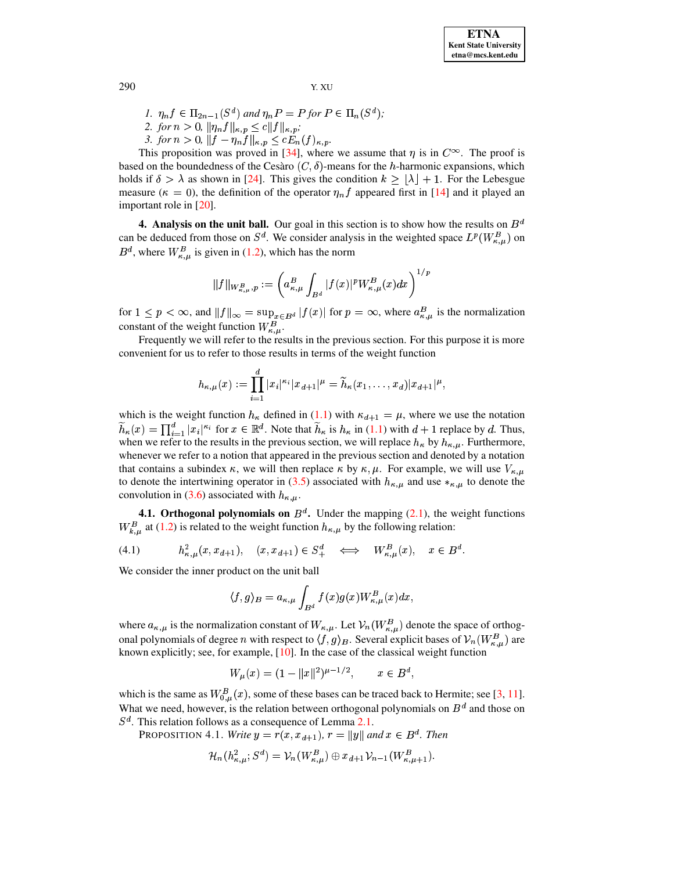1. 
$$
\eta_n f \in \Pi_{2n-1}(S^d)
$$
 and  $\eta_n P = P$  for  $P \in \Pi_n(S^d)$ ;

2. for  $n > 0$ ,  $\|\eta_n f\|_{\kappa, p} \le c \|f\|_{\kappa, p}$ ;

3. for  $n > 0$ ,  $||f - \eta_n f||_{\kappa, p} \le c E_n(f)_{\kappa, p}$ .

This proposition was proved in [34], where we assume that  $\eta$  is in  $C^{\infty}$ . The proof is based on the boundedness of the Cesaro  $(C, \delta)$ -means for the h-harmonic expansions, which holds if  $\delta > \lambda$  as shown in [24]. This gives the condition  $k > |\lambda| + 1$ . For the Lebesgue measure ( $\kappa = 0$ ), the definition of the operator  $\eta_n f$  appeared first in [14] and it played an important role in  $[20]$ .

<span id="page-6-0"></span>4. Analysis on the unit ball. Our goal in this section is to show how the results on  $B^d$ can be deduced from those on  $S^d$ . We consider analysis in the weighted space  $L^p(W^B_{\kappa,u})$  on  $B^d$ , where  $W_{\kappa,\mu}^B$  is given in (1.2), which has the norm

$$
||f||_{W_{\kappa,\mu}^B,p} := \left(a_{\kappa,\mu}^B \int_{B^d} |f(x)|^p W_{\kappa,\mu}^B(x) dx\right)^{1/p}
$$

for  $1 \le p < \infty$ , and  $||f||_{\infty} = \sup_{x \in B^d} |f(x)|$  for  $p = \infty$ , where  $a_{\kappa,\mu}^B$  is the normalization constant of the weight function  $W_{\kappa,\mu}^B$ .

Frequently we will refer to the results in the previous section. For this purpose it is more convenient for us to refer to those results in terms of the weight function

$$
h_{\kappa,\mu}(x) := \prod_{i=1}^d |x_i|^{\kappa_i} |x_{d+1}|^{\mu} = \widetilde{h}_{\kappa}(x_1,\ldots,x_d) |x_{d+1}|^{\mu},
$$

which is the weight function  $h_{\kappa}$  defined in (1.1) with  $\kappa_{d+1} = \mu$ , where we use the notation  $\widetilde{h}_{\kappa}(x) = \prod_{i=1}^{d} |x_i|^{\kappa_i}$  for  $x \in \mathbb{R}^d$ . Note that  $\widetilde{h}_{\kappa}$  is  $h_{\kappa}$  in (1.1) with  $d+1$  replace by d. Thus, when we refer to the results in the previous section, we will replace  $h_{\kappa}$  by  $h_{\kappa,\mu}$ . Furthermore, whenever we refer to a notion that appeared in the previous section and denoted by a notation that contains a subindex  $\kappa$ , we will then replace  $\kappa$  by  $\kappa$ ,  $\mu$ . For example, we will use  $V_{\kappa,\mu}$ to denote the intertwining operator in (3.5) associated with  $h_{\kappa,\mu}$  and use  $*_{\kappa,\mu}$  to denote the convolution in (3.6) associated with  $h_{\kappa,\mu}$ .

**4.1. Orthogonal polynomials on**  $B^d$ . Under the mapping (2.1), the weight functions  $W_{k,\mu}^B$  at (1.2) is related to the weight function  $h_{\kappa,\mu}$  by the following relation:

$$
(4.1) \t\t\t h^2_{\kappa,\mu}(x,x_{d+1}), \quad (x,x_{d+1}) \in S^d_+ \iff W^B_{\kappa,\mu}(x), \quad x \in B^d.
$$

We consider the inner product on the unit ball

$$
\langle f,g\rangle_B=a_{\kappa,\mu}\int_{B^d}f(x)g(x)W_{\kappa,\mu}^B(x)dx,
$$

where  $a_{\kappa,\mu}$  is the normalization constant of  $W_{\kappa,\mu}$ . Let  $\mathcal{V}_n(W_{\kappa,\mu}^B)$  denote the space of orthogonal polynomials of degree *n* with respect to  $\langle f, g \rangle_B$ . Several explicit bases of  $\mathcal{V}_n(W_{\kappa,\mu}^B)$  are known explicitly; see, for example,  $[10]$ . In the case of the classical weight function

$$
W_{\mu}(x) = (1 - ||x||^2)^{\mu - 1/2}, \qquad x \in B^d
$$

which is the same as  $W_{0,\mu}^B(x)$ , some of these bases can be traced back to Hermite; see [3, 11]. What we need, however, is the relation between orthogonal polynomials on  $B^d$  and those on  $S<sup>d</sup>$ . This relation follows as a consequence of Lemma 2.1.

**PROPOSITION** 4.1. Write  $y = r(x, x_{d+1})$ ,  $r = ||y||$  and  $x \in B^d$ . Then

$$
\mathcal{H}_n(h^2_{\kappa,\mu};S^d)=\mathcal{V}_n(W^B_{\kappa,\mu})\oplus x_{d+1}\mathcal{V}_{n-1}(W^B_{\kappa,\mu+1}).
$$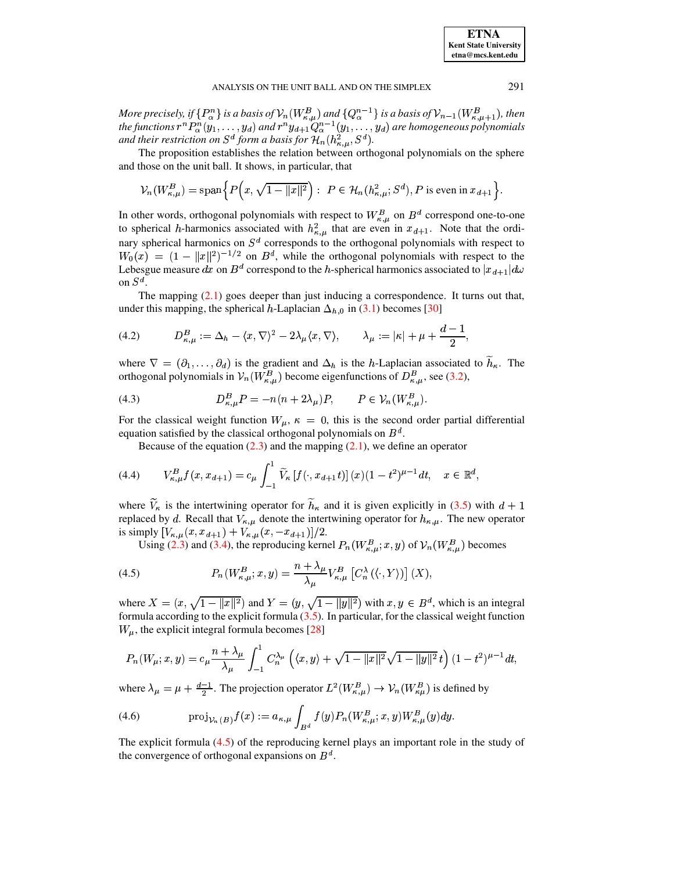More precisely, if  $\{P_{\alpha}^{n}\}$  is a basis of  $\mathcal{V}_{n}(W_{\kappa,\mu}^{B})$  and  $\{Q_{\alpha}^{n-1}\}$  is a basis of  $\mathcal{V}_{n-1}(W_{\kappa,\mu+1}^{B})$ , then the functions  $r^{n}P_{\alpha}^{n}(y_{1},...,y_{d})$  and  $r^{n}y_{d+1}Q_{\alpha}^{n-1}(y_{1},...,y_{d})$  are homogene and their restriction on  $S^d$  form a basis for  $\mathcal{H}_n(h_{\kappa,\mu}^2,S^d)$ .

The proposition establishes the relation between orthogonal polynomials on the sphere and those on the unit ball. It shows, in particular, that

$$
\mathcal{V}_n(W^B_{\kappa,\mu}) = \text{span}\left\{ P\left(x, \sqrt{1 - ||x||^2}\right) : \ P \in \mathcal{H}_n(h^2_{\kappa,\mu}; S^d), P \text{ is even in } x_{d+1} \right\}
$$

In other words, orthogonal polynomials with respect to  $W_{\kappa,\mu}^B$  on  $B^d$  correspond one-to-one to spherical h-harmonics associated with  $h_{\kappa,\mu}^2$  that are even in  $x_{d+1}$ . Note that the ordinary spherical harmonics on  $S<sup>d</sup>$  corresponds to the orthogonal polynomials with respect to  $W_0(x) = (1 - ||x||^2)^{-1/2}$  on  $B^d$ , while the orthogonal polynomials with respect to the Lebesgue measure dx on  $B^d$  correspond to the h-spherical harmonics associated to  $|x_{d+1}|d\omega$ on  $S^d$ .

<span id="page-7-2"></span>The mapping  $(2.1)$  goes deeper than just inducing a correspondence. It turns out that, under this mapping, the spherical h-Laplacian  $\Delta_{h,0}$  in (3.1) becomes [30]

$$
(4.2) \tD_{\kappa,\mu}^B := \Delta_h - \langle x, \nabla \rangle^2 - 2\lambda_\mu \langle x, \nabla \rangle, \t\lambda_\mu := |\kappa| + \mu + \frac{d-1}{2},
$$

where  $\nabla = (\partial_1, \dots, \partial_d)$  is the gradient and  $\Delta_h$  is the h-Laplacian associated to  $h_{\kappa}$ . The orthogonal polynomials in  $V_n(W_{\kappa,\mu}^B)$  become eigenfunctions of  $D_{\kappa,\mu}^B$ , see (3.2),

(4.3) 
$$
D_{\kappa,\mu}^B P = -n(n+2\lambda_\mu)P, \qquad P \in \mathcal{V}_n(W_{\kappa,\mu}^B).
$$

For the classical weight function  $W_{\mu}$ ,  $\kappa = 0$ , this is the second order partial differential equation satisfied by the classical orthogonal polynomials on  $B<sup>d</sup>$ .

<span id="page-7-3"></span>Because of the equation  $(2.3)$  and the mapping  $(2.1)$ , we define an operator

$$
(4.4) \tV_{\kappa,\mu}^B f(x,x_{d+1}) = c_\mu \int_{-1}^1 \widetilde{V}_{\kappa} \left[ f(\cdot,x_{d+1}t) \right](x) (1-t^2)^{\mu-1} dt, \quad x \in \mathbb{R}^d,
$$

where  $\tilde{V}_{\kappa}$  is the intertwining operator for  $\tilde{h}_{\kappa}$  and it is given explicitly in (3.5) with  $d+1$ replaced by d. Recall that  $V_{\kappa,\mu}$  denote the intertwining operator for  $h_{\kappa,\mu}$ . The new operator is simply  $[V_{\kappa,\mu}(x,x_{d+1}) + V_{\kappa,\mu}(x,-x_{d+1})]/2$ .

<span id="page-7-1"></span>Using (2.3) and (3.4), the reproducing kernel  $P_n(W_{\kappa,\mu}^B; x, y)$  of  $\mathcal{V}_n(W_{\kappa,\mu}^B)$  becomes

(4.5) 
$$
P_n(W_{\kappa,\mu}^B; x, y) = \frac{n + \lambda_\mu}{\lambda_\mu} V_{\kappa,\mu}^B \left[ C_n^{\lambda} (\langle \cdot, Y \rangle) \right] (X),
$$

where  $X = (x, \sqrt{1 - ||x||^2})$  and  $Y = (y, \sqrt{1 - ||y||^2})$  with  $x, y \in B^d$ , which is an integral formula according to the explicit formula  $(3.5)$ . In particular, for the classical weight function  $W_{\mu}$ , the explicit integral formula becomes [28]

<span id="page-7-0"></span>
$$
P_n(W_\mu; x, y) = c_\mu \frac{n + \lambda_\mu}{\lambda_\mu} \int_{-1}^1 C_n^{\lambda_\mu} \left( \langle x, y \rangle + \sqrt{1 - ||x||^2} \sqrt{1 - ||y||^2} \, t \right) (1 - t^2)^{\mu - 1} dt,
$$

where  $\lambda_{\mu} = \mu + \frac{d-1}{2}$ . The projection operator  $L^2(W_{\kappa,\mu}^B) \to \mathcal{V}_n(W_{\kappa\mu}^B)$  is defined by

(4.6) 
$$
\text{proj}_{\mathcal{V}_n(B)} f(x) := a_{\kappa,\mu} \int_{B^d} f(y) P_n(W_{\kappa,\mu}^B; x, y) W_{\kappa,\mu}^B(y) dy.
$$

The explicit formula  $(4.5)$  of the reproducing kernel plays an important role in the study of the convergence of orthogonal expansions on  $B^d$ .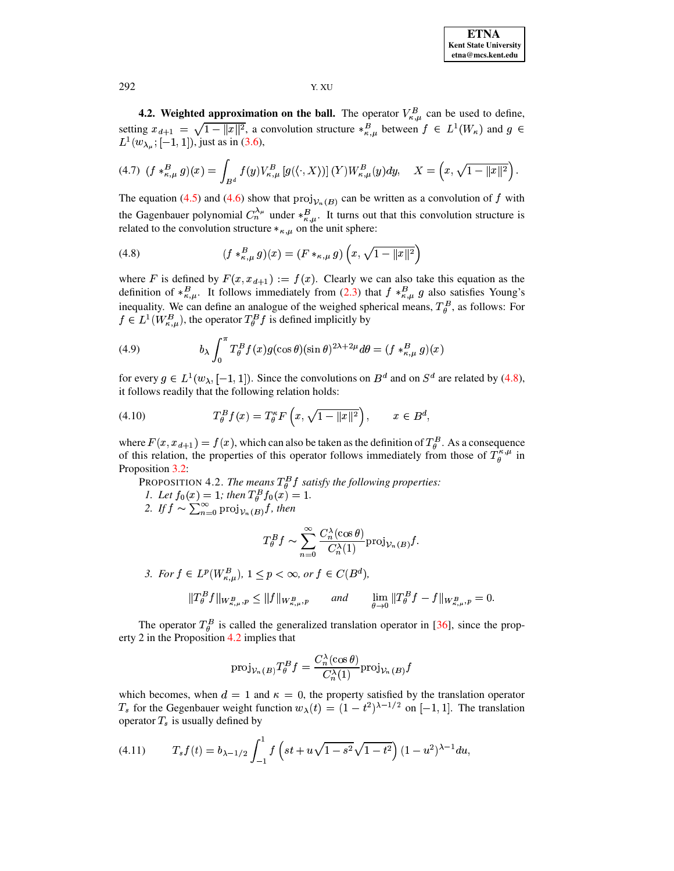**4.2. Weighted approximation on the ball.** The operator  $V_{\kappa,\mu}^B$  can be used to define, setting  $x_{d+1} = \sqrt{1 - ||x||^2}$ , a convolution structure  $*_{\kappa,\mu}^B$  between  $f \in L^1(W_\kappa)$  and  $g \in$  $L^1(w_{\lambda_\mu};[-1,1]),$  just as in (3.6),

<span id="page-8-4"></span>
$$
(4.7) \ \ (f *_{\kappa,\mu}^B g)(x) = \int_{B^d} f(y) V_{\kappa,\mu}^B \left[ g(\langle \cdot, X \rangle) \right](Y) W_{\kappa,\mu}^B(y) dy, \quad X = \left( x, \sqrt{1 - \|x\|^2} \right).
$$

The equation (4.5) and (4.6) show that  $proj_{V_n(B)}$  can be written as a convolution of f with the Gagenbauer polynomial  $C_n^{\lambda_\mu}$  under  $*_{\kappa,\mu}^B$ . It turns out that this convolution structure is related to the convolution structure  $*_{\kappa,\mu}$  on the unit sphere:

<span id="page-8-0"></span>(4.8) 
$$
(f *_{\kappa,\mu}^{B} g)(x) = (F *_{\kappa,\mu} g) \left(x, \sqrt{1 - ||x||^{2}}\right)
$$

where F is defined by  $F(x, x_{d+1}) := f(x)$ . Clearly we can also take this equation as the definition of  $*_{\kappa,\mu}^B$ . It follows immediately from (2.3) that  $f *_{\kappa,\mu}^B g$  also satisfies Young's inequality. We can define an analogue of the weighed spherical means,  $T_{\theta}^{B}$ , as follows: For  $f \in L^1(W_{\kappa,\mu}^B)$ , the operator  $T_{\theta}^B f$  is defined implicitly by

<span id="page-8-5"></span>(4.9) 
$$
b_{\lambda} \int_0^{\pi} T_{\theta}^B f(x) g(\cos \theta) (\sin \theta)^{2\lambda + 2\mu} d\theta = (f *_{\kappa, \mu}^B g)(x)
$$

for every  $g \in L^1(w_\lambda, [-1, 1])$ . Since the convolutions on  $B^d$  and on  $S^d$  are related by (4.8), it follows readily that the following relation holds:

$$
(4.10) \t\t T_{\theta}^B f(x) = T_{\theta}^{\kappa} F\left(x, \sqrt{1 - \|x\|^2}\right), \t x \in B^d,
$$

<span id="page-8-1"></span>where  $F(x, x_{d+1}) = f(x)$ , which can also be taken as the definition of  $T_{\theta}^{B}$ . As a consequence of this relation, the properties of this operator follows immediately from those of  $T_A^{\kappa,\mu}$  in Proposition 3.2:

PROPOSITION 4.2. The means  $T_{\theta}^{B}f$  satisfy the following properties: 1. Let  $f_0(x) = 1$ ; then  $T_\theta^B f_0(x) = 1$ .<br>2. If  $f \sim \sum_{n=0}^\infty \text{proj}_{\mathcal{V}_n(B)} f$ , then

<span id="page-8-3"></span>
$$
T_{\theta}^{B} f \sim \sum_{n=0}^{\infty} \frac{C_{n}^{\lambda}(\cos \theta)}{C_{n}^{\lambda}(1)} \text{proj}_{\mathcal{V}_{n}(B)} f
$$

3. For 
$$
f \in L^p(W_{\kappa,\mu}^B), 1 \leq p < \infty
$$
, or  $f \in C(B^d)$ ,

$$
||T_{\theta}^{B} f||_{W_{\kappa,\mu}^{B},p} \leq ||f||_{W_{\kappa,\mu}^{B},p} \quad \text{and} \quad \lim_{\theta \to 0} ||T_{\theta}^{B} f - f||_{W_{\kappa,\mu}^{B},p} = 0.
$$

The operator  $T_{\theta}^{B}$  is called the generalized translation operator in [36], since the property 2 in the Proposition  $4.2$  implies that

$$
\text{proj}_{\mathcal{V}_n(B)} T_{\theta}^B f = \frac{C_n^{\lambda}(\cos \theta)}{C_n^{\lambda}(1)} \text{proj}_{\mathcal{V}_n(B)} f
$$

which becomes, when  $d = 1$  and  $\kappa = 0$ , the property satisfied by the translation operator  $T_s$  for the Gegenbauer weight function  $w_{\lambda}(t) = (1-t^2)^{\lambda-1/2}$  on  $[-1,1]$ . The translation operator  $T_s$  is usually defined by

<span id="page-8-2"></span>
$$
(4.11) \t\t T_s f(t) = b_{\lambda - 1/2} \int_{-1}^1 f\left(st + u\sqrt{1 - s^2}\sqrt{1 - t^2}\right) (1 - u^2)^{\lambda - 1} du,
$$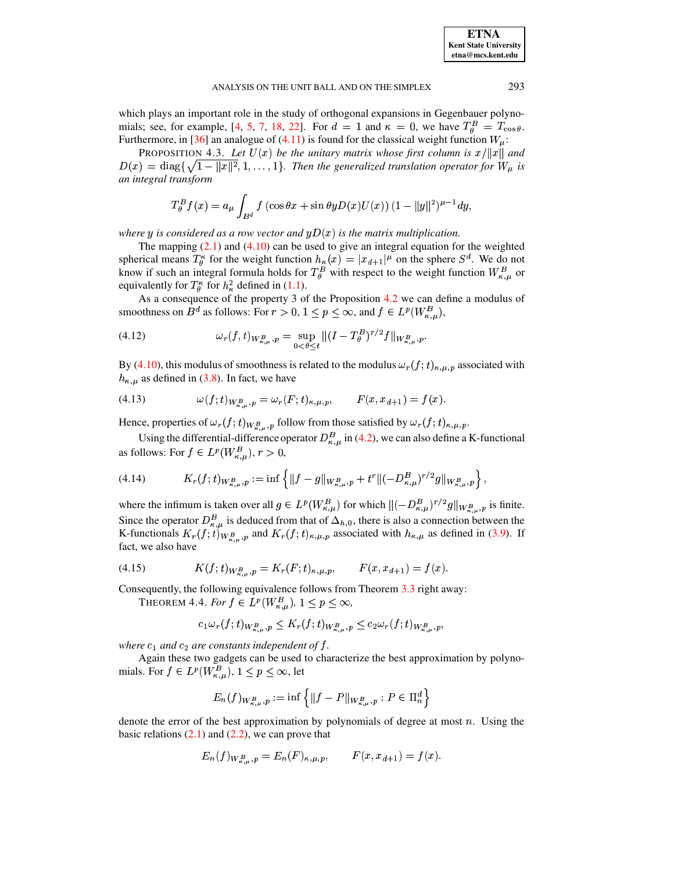which plays an important role in the study of orthogonal expansions in Gegenbauer polynomials; see, for example, [4, 5, 7, 18, 22]. For  $d = 1$  and  $\kappa = 0$ , we have  $T_{\theta}^{B} = T_{\cos \theta}$ . Furthermore, in [36] an analogue of (4.11) is found for the classical weight function  $W_{\mu}$ :

<span id="page-9-1"></span>**PROPOSITION 4.3.** Let  $U(x)$  be the unitary matrix whose first column is  $x/||x||$  and  $D(x) = \text{diag}\{\sqrt{1-\|x\|^2}, 1, \ldots, 1\}$ . Then the generalized translation operator for  $W_{\mu}$  is an integral transform

<span id="page-9-0"></span>
$$
T_{\theta}^{B} f(x) = a_{\mu} \int_{B^{d}} f(\cos \theta x + \sin \theta y D(x)U(x)) (1 - ||y||^{2})^{\mu - 1} dy,
$$

where y is considered as a row vector and  $yD(x)$  is the matrix multiplication.

The mapping  $(2.1)$  and  $(4.10)$  can be used to give an integral equation for the weighted spherical means  $T^{\kappa}_{\theta}$  for the weight function  $h_{\kappa}(x) = |x_{d+1}|^{\mu}$  on the sphere  $S^d$ . We do not know if such an integral formula holds for  $T^B_{\theta}$  with respect to the weight function  $W^B_{\kappa,\mu}$  or equivalently for  $T^{\kappa}_{\theta}$  for  $h^2_{\kappa}$  defined in (1.1).

As a consequence of the property 3 of the Proposition 4.2 we can define a modulus of smoothness on  $B^d$  as follows: For  $r > 0$ ,  $1 \le p \le \infty$ , and  $f \in L^p(W_{\kappa,\mu}^B)$ ,

(4.12) 
$$
\omega_r(f,t)_{W_{\kappa,\mu}^B,p} = \sup_{0<\theta\leq t} \|(I-T_\theta^B)^{r/2}f\|_{W_{\kappa,\mu}^B,p}.
$$

By (4.10), this modulus of smoothness is related to the modulus  $\omega_r(f; t)_{\kappa,\mu,p}$  associated with  $h_{\kappa,\mu}$  as defined in (3.8). In fact, we have

(4.13) 
$$
\omega(f;t)_{W_{\kappa,\mu}^B,p} = \omega_r(F;t)_{\kappa,\mu,p}, \qquad F(x,x_{d+1}) = f(x).
$$

Hence, properties of  $\omega_r(f;t)_{W_{\kappa,u}^B,p}$  follow from those satisfied by  $\omega_r(f;t)_{\kappa,\mu,p}$ .

Using the differential-difference operator  $D_{\kappa,\mu}^B$  in (4.2), we can also define a K-functional as follows: For  $f \in L^p(W_{\kappa,\mu}^B)$ ,  $r > 0$ ,

$$
(4.14) \t K_r(f;t)_{W^B_{\kappa,\mu},p} := \inf \left\{ \|f-g\|_{W^B_{\kappa,\mu},p} + t^r \|(-D^B_{\kappa,\mu})^{r/2}g\|_{W^B_{\kappa,\mu},p} \right\},
$$

where the infimum is taken over all  $g \in L^p(W_{\kappa,\mu}^B)$  for which  $||(-D_{\kappa,\mu}^B)^{r/2}g||_{W_{\kappa,\mu}^B,p}$  is finite. Since the operator  $D_{\kappa,\mu}^B$  is deduced from that of  $\Delta_{h,0}$ , there is also a connection between the K-functionals  $K_r(f; t)_{W^B_{\kappa,\mu},p}$  and  $K_r(f; t)_{\kappa,\mu,p}$  associated with  $h_{\kappa,\mu}$  as defined in (3.9). If fact, we also have

(4.15) 
$$
K(f;t)_{W_{\kappa,\mu}^B,p} = K_r(F;t)_{\kappa,\mu,p}, \qquad F(x,x_{d+1}) = f(x).
$$

Consequently, the following equivalence follows from Theorem 3.3 right away:

THEOREM 4.4. For  $f \in L^p(W_{\kappa,\mu}^B)$ ,  $1 \leq p \leq \infty$ ,

$$
c_1\omega_r(f;t)_{W^B_{\kappa,\mu},p}\leq K_r(f;t)_{W^B_{\kappa,\mu},p}\leq c_2\omega_r(f;t)_{W^B_{\kappa,\mu},p},
$$

where  $c_1$  and  $c_2$  are constants independent of f.

Again these two gadgets can be used to characterize the best approximation by polynomials. For  $f \in L^p(W_{\kappa,\mu}^{\bar{B}})$ ,  $1 \le p \le \infty$ , let

$$
E_n(f)_{W_{\kappa,\mu}^B,p} := \inf \left\{ \|f - P\|_{W_{\kappa,\mu}^B,p} : P \in \Pi_n^d \right\}
$$

denote the error of the best approximation by polynomials of degree at most  $n$ . Using the basic relations  $(2.1)$  and  $(2.2)$ , we can prove that

$$
E_n(f)_{W^B_{\kappa,u},p} = E_n(F)_{\kappa,\mu,p}, \qquad F(x, x_{d+1}) = f(x).
$$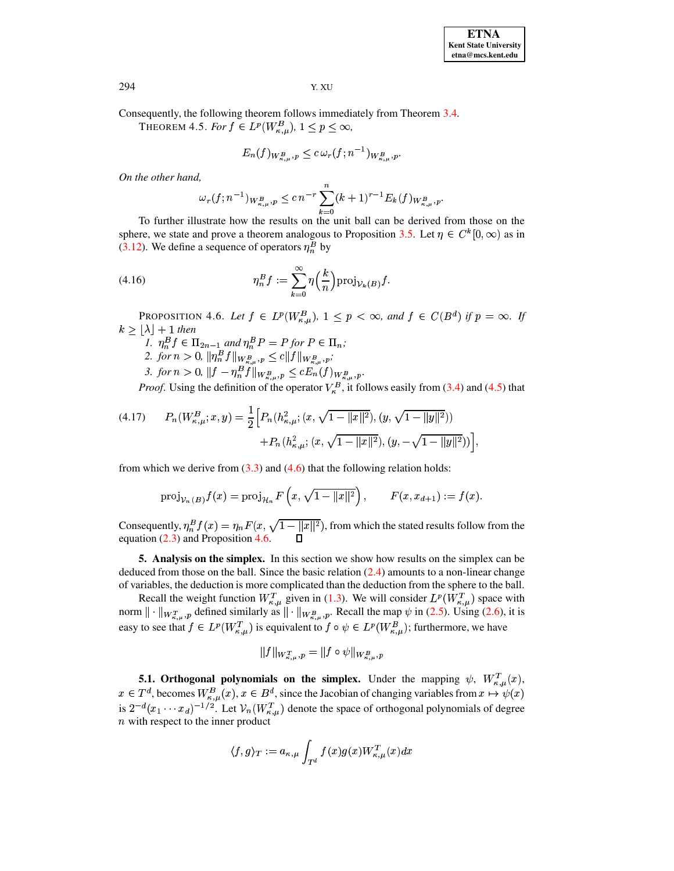<span id="page-10-2"></span>Consequently, the following theorem follows immediately from Theorem 3.4.

THEOREM 4.5. For  $f \in L^p(W_{\kappa,\mu}^B)$ ,  $1 \leq p \leq \infty$ ,

$$
E_n(f)_{W_{\kappa,\mu}^B,p} \leq c \,\omega_r(f;n^{-1})_{W_{\kappa,\mu}^B,p}.
$$

On the other hand,

$$
\omega_r(f;n^{-1})_{W_{\kappa,\mu}^B,p} \le c \, n^{-r} \sum_{k=0}^n (k+1)^{r-1} E_k(f)_{W_{\kappa,\mu}^B,p}.
$$

To further illustrate how the results on the unit ball can be derived from those on the sphere, we state and prove a theorem analogous to Proposition 3.5. Let  $\eta \in C^k[0,\infty)$  as in (3.12). We define a sequence of operators  $\eta_n^B$  by

(4.16) 
$$
\eta_n^B f := \sum_{k=0}^{\infty} \eta \left(\frac{k}{n}\right) \operatorname{proj}_{\mathcal{V}_k(B)} f.
$$

<span id="page-10-1"></span>PROPOSITION 4.6. Let  $f \in L^p(W_{\kappa,\mu}^B)$ ,  $1 \leq p < \infty$ , and  $f \in C(B^d)$  if  $p = \infty$ . If  $k \geq |\lambda| + 1$  then

- 1.  $\eta_n^B f \in \Pi_{2n-1}$  and  $\eta_n^B P = P$  for  $P \in \Pi_n$ ;<br>2. for  $n > 0$ ,  $\|\eta_n^B f\|_{W_{\kappa,\mu}^B, p} \le c \|f\|_{W_{\kappa,\mu}^B, p}$ ;
- 
- 3. for  $n > 0$ ,  $||f \eta_n^B f||_{W_{\kappa,\mu}^B, p} \leq c E_n(f)_{W_{\kappa,\mu}^B, p}$ .

*Proof.* Using the definition of the operator  $V_{\kappa}^{B}$ , it follows easily from (3.4) and (4.5) that

$$
(4.17) \qquad P_n(W_{\kappa,\mu}^B; x, y) = \frac{1}{2} \Big[ P_n(h_{\kappa,\mu}^2; (x, \sqrt{1 - \|x\|^2}), (y, \sqrt{1 - \|y\|^2})) + P_n(h_{\kappa,\mu}^2; (x, \sqrt{1 - \|x\|^2}), (y, -\sqrt{1 - \|y\|^2})) \Big]
$$

from which we derive from  $(3.3)$  and  $(4.6)$  that the following relation holds:

$$
\text{proj}_{\mathcal{V}_n(B)} f(x) = \text{proj}_{\mathcal{H}_n} F\left(x, \sqrt{1 - ||x||^2}\right), \qquad F(x, x_{d+1}) := f(x).
$$

Consequently,  $\eta_n^B f(x) = \eta_n F(x, \sqrt{1 - ||x||^2})$ , from which the stated results follow from the equation  $(2.3)$  and Proposition 4.6.  $\Box$ 

<span id="page-10-0"></span>**5. Analysis on the simplex.** In this section we show how results on the simplex can be deduced from those on the ball. Since the basic relation  $(2.4)$  amounts to a non-linear change of variables, the deduction is more complicated than the deduction from the sphere to the ball.

Recall the weight function  $W_{\kappa,\mu}^T$  given in (1.3). We will consider  $L^p(W_{\kappa,\mu}^T)$  space with<br>norm  $\|\cdot\|_{W_{\kappa,\mu}^T,p}$  defined similarly as  $\|\cdot\|_{W_{\kappa,\mu}^B,p}$ . Recall the map  $\psi$  in (2.5). Using (2.6), it is easy to see that  $f \in L^p(W_{\kappa,\mu}^T)$  is equivalent to  $f \circ \psi \in L^p(W_{\kappa,\mu}^B)$ ; furthermore, we have

$$
||f||_{W_{\kappa,\mu}^T,p} = ||f \circ \psi||_{W_{\kappa,\mu}^B,p}
$$

**5.1.** Orthogonal polynomials on the simplex. Under the mapping  $\psi$ ,  $W_{\kappa,\mu}^T(x)$ ,  $x \in T^d$ , becomes  $W_{\kappa,\mu}^B(x)$ ,  $x \in B^d$ , since the Jacobian of changing variables from  $x \mapsto \psi(x)$ <br>is  $2^{-d}(x_1 \cdots x_d)^{-1/2}$ . Let  $\mathcal{V}_n(W_{\kappa,\mu}^T)$  denote the space of orthogonal polynomials of degree  $n$  with respect to the inner product

$$
\langle f,g\rangle_T:=a_{\kappa,\mu}\int_{T^d}f(x)g(x)W_{\kappa,\mu}^T(x)dx
$$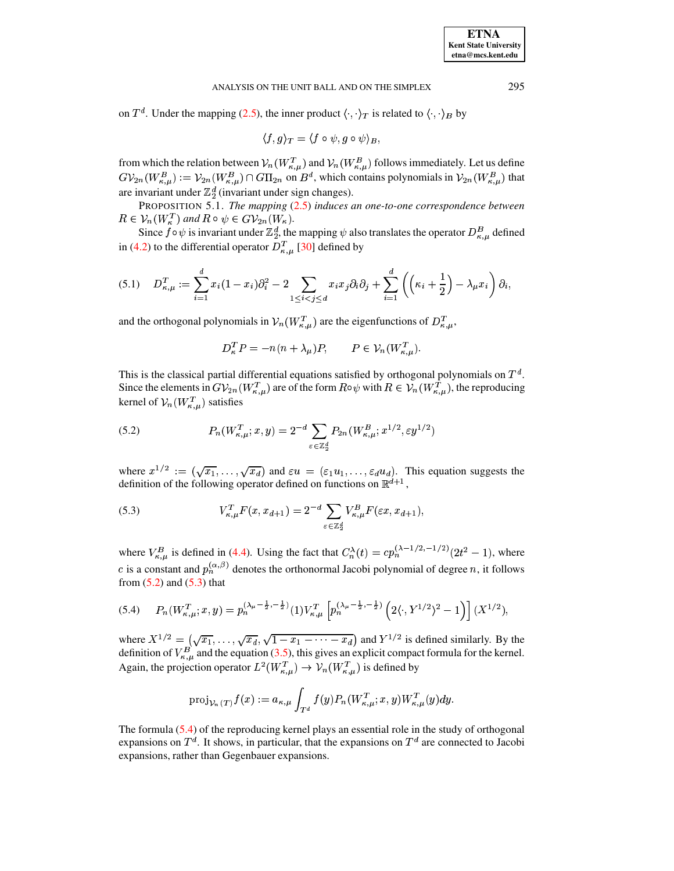on  $T^d$ . Under the mapping (2.5), the inner product  $\langle \cdot, \cdot \rangle_T$  is related to  $\langle \cdot, \cdot \rangle_B$  by

<span id="page-11-3"></span>
$$
\langle f,g\rangle_T = \langle f\circ\psi,g\circ\psi\rangle_B,
$$

from which the relation between  $\mathcal{V}_n(W_{\kappa,\mu}^T)$  and  $\mathcal{V}_n(W_{\kappa,\mu}^B)$  follows immediately. Let us define  $G\mathcal{V}_{2n}(W_{\kappa,\mu}^B) := \mathcal{V}_{2n}(W_{\kappa,\mu}^B) \cap G\Pi_{2n}$  on  $B^d$ , which contains polynomials in  $\mathcal{V}_{2n}(W_{\k$ are invariant under  $\mathbb{Z}_2^d$  (invariant under sign changes).

PROPOSITION 5.1. The mapping  $(2.5)$  induces an one-to-one correspondence between  $R \in \mathcal{V}_n(W_{\kappa}^T)$  and  $R \circ \psi \in G\mathcal{V}_{2n}(W_{\kappa}).$ 

Since  $f \circ \psi$  is invariant under  $\mathbb{Z}_2^d$ , the mapping  $\psi$  also translates the operator  $D_{\kappa,\mu}^B$  defined in (4.2) to the differential operator  $D_{\kappa,\mu}^T$  [30] defined by

$$
(5.1) \tD_{\kappa,\mu}^T := \sum_{i=1}^d x_i (1-x_i) \partial_i^2 - 2 \sum_{1 \leq i < j \leq d} x_i x_j \partial_i \partial_j + \sum_{i=1}^d \left( \left( \kappa_i + \frac{1}{2} \right) - \lambda_\mu x_i \right) \partial_i,
$$

and the orthogonal polynomials in  $\mathcal{V}_n(W_{\kappa,\mu}^T)$  are the eigenfunctions of  $D_{\kappa,\mu}^T$ ,

<span id="page-11-1"></span>
$$
D_{\kappa}^T P = -n(n + \lambda_{\mu})P, \qquad P \in \mathcal{V}_n(W_{\kappa,\mu}^T).
$$

This is the classical partial differential equations satisfied by orthogonal polynomials on  $T<sup>d</sup>$ . Since the elements in  $GV_{2n}(W_{\kappa,\mu}^T)$  are of the form  $R\circ\psi$  with  $R\in\mathcal{V}_n(W_{\kappa,\mu}^T)$ , the reproducing kernel of  $\mathcal{V}_n(W_{\kappa,\mu}^T)$  satisfies

<span id="page-11-0"></span>(5.2) 
$$
P_n(W_{\kappa,\mu}^T; x, y) = 2^{-d} \sum_{\varepsilon \in \mathbb{Z}_2^d} P_{2n}(W_{\kappa,\mu}^B; x^{1/2}, \varepsilon y^{1/2})
$$

where  $x^{1/2} := (\sqrt{x_1}, \ldots, \sqrt{x_d})$  and  $\varepsilon u = (\varepsilon_1 u_1, \ldots, \varepsilon_d u_d)$ . This equation suggests the definition of the following operator defined on functions on  $\mathbb{R}^{d+1}$ ,

(5.3) 
$$
V_{\kappa,\mu}^T F(x, x_{d+1}) = 2^{-d} \sum_{\varepsilon \in \mathbb{Z}_2^d} V_{\kappa,\mu}^B F(\varepsilon x, x_{d+1}),
$$

where  $V_{\kappa,\mu}^B$  is defined in (4.4). Using the fact that  $C_n^{\lambda}(t) = cp_n^{(\lambda-1/2,-1/2)}(2t^2-1)$ , where c is a constant and  $p_n^{(\alpha,\beta)}$  denotes the orthonormal Jacobi polynomial of degree n, it follows from  $(5.2)$  and  $(5.3)$  that

<span id="page-11-2"></span>
$$
(5.4) \qquad P_n(W_{\kappa,\mu}^T; x, y) = p_n^{(\lambda_\mu - \frac{1}{2}, -\frac{1}{2})} (1) V_{\kappa,\mu}^T \left[ p_n^{(\lambda_\mu - \frac{1}{2}, -\frac{1}{2})} \left( 2 \langle \cdot, Y^{1/2} \rangle^2 - 1 \right) \right] (X^{1/2}),
$$

where  $X^{1/2} = (\sqrt{x_1}, \dots, \sqrt{x_d}, \sqrt{1-x_1-\dots-x_d})$  and  $Y^{1/2}$  is defined similarly. By the definition of  $V_{\kappa,\mu}^B$  and the equation (3.5), this gives an explicit compact formula for the kernel. Again, the projection operator  $L^2(W_{\kappa,\mu}^T) \to \mathcal{V}_n(W_{\kappa,\mu}^T)$  is defined by

$$
\text{proj}_{\mathcal{V}_n(T)} f(x) := a_{\kappa,\mu} \int_{T^d} f(y) P_n(W_{\kappa,\mu}^T; x, y) W_{\kappa,\mu}^T(y) dy.
$$

The formula  $(5.4)$  of the reproducing kernel plays an essential role in the study of orthogonal expansions on  $T^d$ . It shows, in particular, that the expansions on  $T^d$  are connected to Jacobi expansions, rather than Gegenbauer expansions.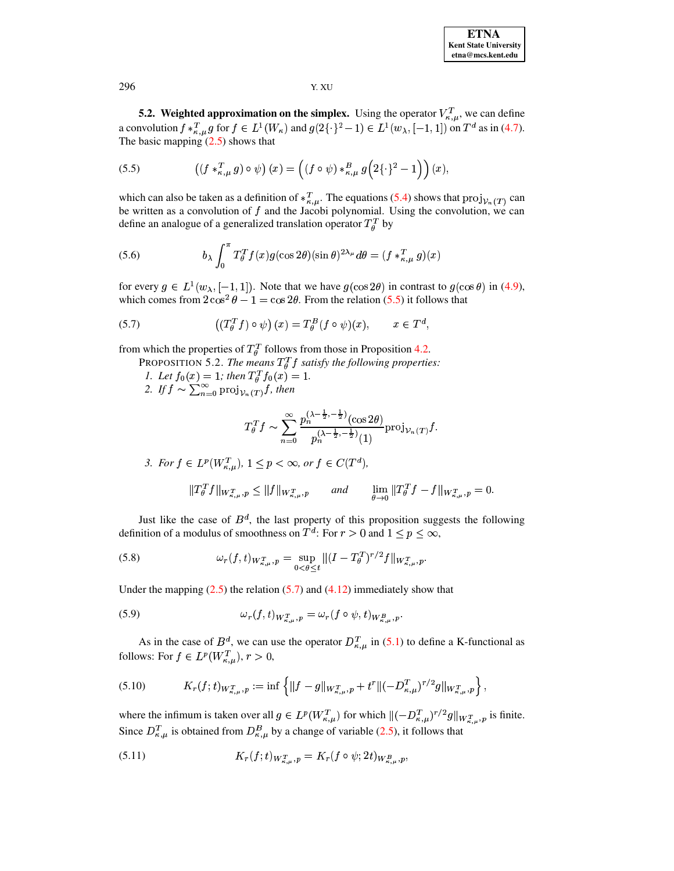**5.2. Weighted approximation on the simplex.** Using the operator  $V_{\kappa,\mu}^T$ , we can define a convolution  $f *_{\kappa,\mu}^T g$  for  $f \in L^1(W_\kappa)$  and  $g(2\{\cdot\}^2 - 1) \in L^1(w_\lambda, [-1,1])$  on  $T^d$  as in (4.7). The basic mapping  $(2.5)$  shows that

<span id="page-12-0"></span>(5.5) 
$$
\left((f *_{\kappa,\mu}^T g) \circ \psi\right)(x) = \left((f \circ \psi) *_{\kappa,\mu}^B g\left(2\{\cdot\}^2 - 1\right)\right)(x),
$$

which can also be taken as a definition of  $*_{\kappa,\mu}^T$ . The equations (5.4) shows that  $proj_{\mathcal{V}_n(T)}$  can be written as a convolution of  $f$  and the Jacobi polynomial. Using the convolution, we can define an analogue of a generalized translation operator  $T_{\theta}^{T}$  by

(5.6) 
$$
b_{\lambda} \int_0^{\pi} T_{\theta}^T f(x) g(\cos 2\theta) (\sin \theta)^{2\lambda_{\mu}} d\theta = (f *_{\kappa,\mu}^T g)(x)
$$

for every  $g \in L^1(w_\lambda, [-1, 1])$ . Note that we have  $g(\cos 2\theta)$  in contrast to  $g(\cos \theta)$  in (4.9), which comes from  $2 \cos^2 \theta - 1 = \cos 2\theta$ . From the relation (5.5) it follows that

(5.7) 
$$
\left( (T_{\theta}^{T} f) \circ \psi \right) (x) = T_{\theta}^{B} (f \circ \psi)(x), \qquad x \in T^{d},
$$

from which the properties of  $T_{\theta}^{T}$  follows from those in Proposition 4.2.

- PROPOSITION 5.2. The means  $T_{\theta}^{T}f$  satisfy the following properties:
- 1. Let  $f_0(x) = 1$ ; then  $T_{\theta}^T f_0(x) = 1$ .<br>2. If  $f \sim \sum_{n=0}^{\infty} \text{proj}_{\mathcal{V}_n(T)} f$ , then
- 

<span id="page-12-2"></span><span id="page-12-1"></span>
$$
T_{\theta}^{T} f \sim \sum_{n=0}^{\infty} \frac{p_{n}^{(\lambda-\frac{1}{2},-\frac{1}{2})}(\cos 2\theta)}{p_{n}^{(\lambda-\frac{1}{2},-\frac{1}{2})}(1)} \text{proj}_{\mathcal{V}_{n}(T)} f.
$$

3. For 
$$
f \in L^p(W_{\kappa,\mu}^T)
$$
,  $1 \le p < \infty$ , or  $f \in C(T^d)$ ,  

$$
||T_{\theta}^T f||_{W_{\kappa,\mu}^T, p} \le ||f||_{W_{\kappa,\mu}^T, p} \quad \text{and} \quad \lim_{\theta \to 0} ||T_{\theta}^T f - f||_{W_{\kappa,\mu}^T, p} = 0.
$$

Just like the case of  $B^d$ , the last property of this proposition suggests the following definition of a modulus of smoothness on  $T^d$ : For  $r > 0$  and  $1 \le p \le \infty$ ,

(5.8) 
$$
\omega_r(f,t)_{W_{\kappa,\mu}^T,p} = \sup_{0 < \theta \le t} \|(I - T_\theta^T)^{r/2} f\|_{W_{\kappa,\mu}^T,p}
$$

Under the mapping  $(2.5)$  the relation  $(5.7)$  and  $(4.12)$  immediately show that

(5.9) 
$$
\omega_r(f, t)_{W_{\kappa, u}^T, p} = \omega_r(f \circ \psi, t)_{W_{\kappa, u}^B, p}
$$

As in the case of  $B^d$ , we can use the operator  $D_{\kappa,\mu}^T$  in (5.1) to define a K-functional as follows: For  $f \in L^p(W_{\kappa,\mu}^T), r > 0$ ,

$$
(5.10) \t K_r(f;t)_{W_{\kappa,\mu}^T,p} := \inf \left\{ \|f-g\|_{W_{\kappa,\mu}^T,p} + t^r \|(-D_{\kappa,\mu}^T)^{r/2}g\|_{W_{\kappa,\mu}^T,p} \right\},
$$

where the infimum is taken over all  $g \in L^p(W_{\kappa,\mu}^T)$  for which  $||(-D_{\kappa,\mu}^T)^{r/2}g||_{W_{\kappa,\mu}^T,p}$  is finite. Since  $D_{\kappa,\mu}^T$  is obtained from  $D_{\kappa,\mu}^B$  by a change of variable (2.5), it follows that

(5.11) 
$$
K_r(f;t)_{W^T_{\kappa,n},p} = K_r(f \circ \psi; 2t)_{W^B_{\kappa,n},p},
$$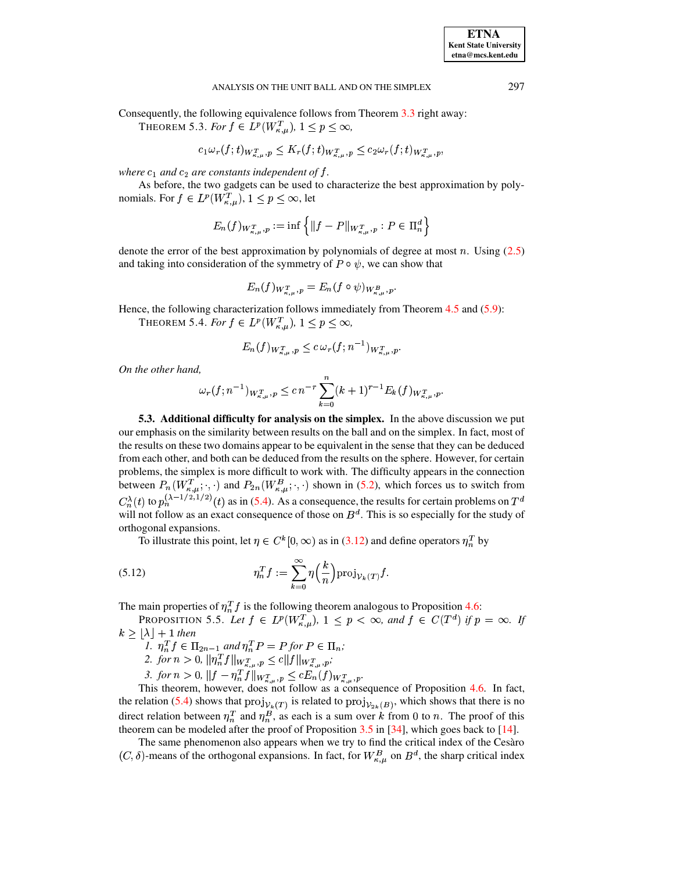Consequently, the following equivalence follows from Theorem 3.3 right away:

THEOREM 5.3. For  $f \in L^p(W_{\kappa,\mu}^T)$ ,  $1 \leq p \leq \infty$ ,

$$
c_1\omega_r(f;t)_{W_{\kappa,\mu}^T,p}\leq K_r(f;t)_{W_{\kappa,\mu}^T,p}\leq c_2\omega_r(f;t)_{W_{\kappa,\mu}^T,p},
$$

where  $c_1$  and  $c_2$  are constants independent of  $f$ .

As before, the two gadgets can be used to characterize the best approximation by polynomials. For  $f \in L^p(W_{\kappa,\mu}^T), 1 \leq p \leq \infty$ , let

$$
E_n(f)_{W_{\kappa,\mu}^T, p} := \inf \left\{ \|f - P\|_{W_{\kappa,\mu}^T, p} : P \in \Pi_n^d \right\}
$$

denote the error of the best approximation by polynomials of degree at most  $n$ . Using  $(2.5)$ and taking into consideration of the symmetry of  $P \circ \psi$ , we can show that

$$
E_n(f)_{W_{\kappa,\mu}^T,p} = E_n(f \circ \psi)_{W_{\kappa,\mu}^B,p}
$$

Hence, the following characterization follows immediately from Theorem  $4.5$  and  $(5.9)$ :

THEOREM 5.4. For  $f \in L^p(W_{\kappa,\mu}^T)$ ,  $1 \leq p \leq \infty$ ,

$$
E_n(f)_{W^T_{\kappa,\mu},p}\leq c\,\omega_r(f;n^{-1})_{W^T_{\kappa,\mu},p}.
$$

On the other hand,

$$
\omega_r(f;n^{-1})_{W^T_{\kappa,\mu},p} \leq c n^{-r} \sum_{k=0}^n (k+1)^{r-1} E_k(f)_{W^T_{\kappa,\mu},p}.
$$

5.3. Additional difficulty for analysis on the simplex. In the above discussion we put our emphasis on the similarity between results on the ball and on the simplex. In fact, most of the results on these two domains appear to be equivalent in the sense that they can be deduced from each other, and both can be deduced from the results on the sphere. However, for certain problems, the simplex is more difficult to work with. The difficulty appears in the connection between  $P_n(W_{\kappa,\mu}^T;\cdot,\cdot)$  and  $P_{2n}(W_{\kappa,\mu}^B;\cdot,\cdot)$  shown in (5.2), which forces us to switch from  $C_n^{\lambda}(t)$  to  $p_n^{(\lambda-1/2,1/2)}(t)$  as in (5.4). As a consequence, the results for certain problems on  $T^d$ will not follow as an exact consequence of those on  $B^d$ . This is so especially for the study of orthogonal expansions.

To illustrate this point, let  $\eta \in C^k[0,\infty)$  as in (3.12) and define operators  $\eta_n^T$  by

(5.12) 
$$
\eta_n^T f := \sum_{k=0}^{\infty} \eta\left(\frac{k}{n}\right) \operatorname{proj}_{\mathcal{V}_k(T)} f.
$$

The main properties of  $\eta_n^T f$  is the following theorem analogous to Proposition 4.6:

PROPOSITION 5.5. Let  $f \in L^p(W_{\kappa,\mu}^T)$ ,  $1 \leq p < \infty$ , and  $f \in C(T^d)$  if  $p = \infty$ . If  $k \geq \lfloor \lambda \rfloor + 1$  then

- *I*.  $\eta_n^T f \in \Pi_{2n-1}$  and  $\eta_n^T P = P$  for  $P \in \Pi_n$ ;<br>2. for  $n > 0$ ,  $\|\eta_n^T f\|_{W_{\kappa,\mu}^T, p} \le c \|f\|_{W_{\kappa,\mu}^T, p}$ ;
- 
- 

3. for  $n > 0$ ,  $||f - \eta_n^T f||_{W_{\kappa,\mu}^T, p} \le c E_n(f)_{W_{\kappa,\mu}^T, p}$ .<br>This theorem, however, does not follow as a consequence of Proposition 4.6. In fact, the relation (5.4) shows that  $proj_{\mathcal{V}_k(T)}$  is related to  $proj_{\mathcal{V}_{2k}(B)}$ , which shows that there is no direct relation between  $\eta_n^T$  and  $\eta_n^B$ , as each is a sum over k from 0 to n. The proof of this theorem can be modeled after the proof of Proposition 3.5 in [34], which goes back to [14].

The same phenomenon also appears when we try to find the critical index of the Cesàro  $(C, \delta)$ -means of the orthogonal expansions. In fact, for  $W_{\kappa,\mu}^B$  on  $B^d$ , the sharp critical index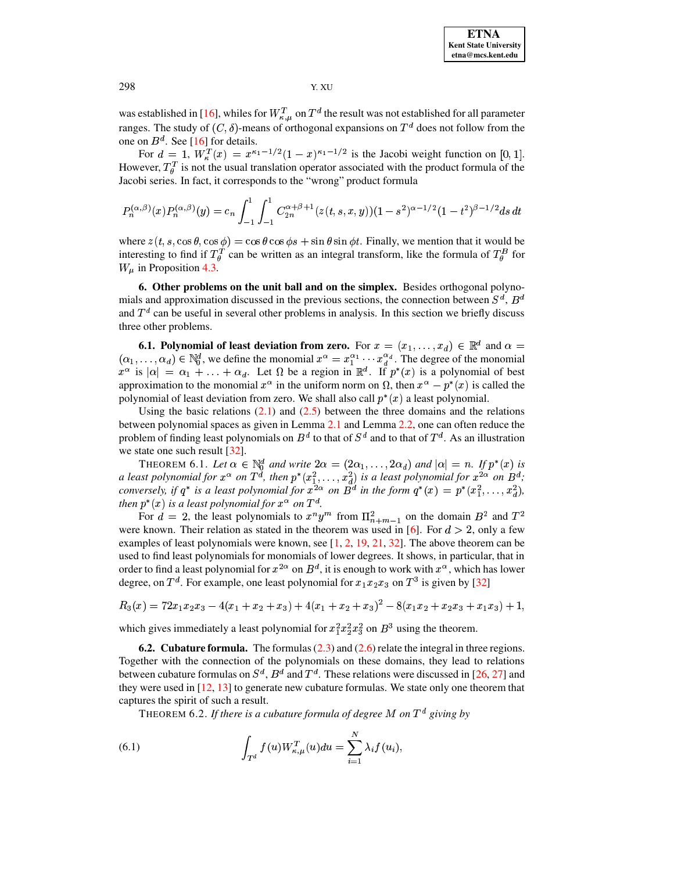was established in [16], whiles for  $W_{\kappa,\mu}^T$  on  $T^d$  the result was not established for all parameter ranges. The study of  $(C, \delta)$ -means of orthogonal expansions on  $T^d$  does not follow from the one on  $B^d$ . See [16] for details.

For  $d = 1$ ,  $W_{\kappa}^{T}(x) = x^{\kappa_1 - 1/2} (1 - x)^{\kappa_1 - 1/2}$  is the Jacobi weight function on [0, 1]. However,  $T_{\theta}^{T}$  is not the usual translation operator associated with the product formula of the Jacobi series. In fact, it corresponds to the "wrong" product formula

$$
P_n^{(\alpha,\beta)}(x)P_n^{(\alpha,\beta)}(y) = c_n \int_{-1}^1 \int_{-1}^1 C_{2n}^{\alpha+\beta+1}(z(t,s,x,y))(1-s^2)^{\alpha-1/2}(1-t^2)^{\beta-1/2}ds dt
$$

where  $z(t, s, \cos \theta, \cos \phi) = \cos \theta \cos \phi s + \sin \theta \sin \phi t$ . Finally, we mention that it would be interesting to find if  $T_{\theta}^{T}$  can be written as an integral transform, like the formula of  $T_{\theta}^{B}$  for  $W_u$  in Proposition 4.3.

<span id="page-14-0"></span>6. Other problems on the unit ball and on the simplex. Besides orthogonal polynomials and approximation discussed in the previous sections, the connection between  $S^d$ ,  $B^d$ and  $T<sup>d</sup>$  can be useful in several other problems in analysis. In this section we briefly discuss three other problems.

**6.1. Polynomial of least deviation from zero.** For  $x = (x_1, \ldots, x_d) \in \mathbb{R}^d$  and  $\alpha =$  $(\alpha_1,\ldots,\alpha_d)\in\mathbb{N}_0^d$ , we define the monomial  $x^\alpha=x_1^{\alpha_1}\cdots x_d^{\alpha_d}$ . The degree of the monomial  $x^{\alpha}$  is  $|\alpha| = \alpha_1 + \ldots + \alpha_d$ . Let  $\Omega$  be a region in  $\mathbb{R}^d$ . If  $p^*(x)$  is a polynomial of best approximation to the monomial  $x^{\alpha}$  in the uniform norm on  $\Omega$ , then  $x^{\alpha} - p^*(x)$  is called the polynomial of least deviation from zero. We shall also call  $p^*(x)$  a least polynomial.

Using the basic relations  $(2.1)$  and  $(2.5)$  between the three domains and the relations between polynomial spaces as given in Lemma 2.1 and Lemma 2.2, one can often reduce the problem of finding least polynomials on  $B^d$  to that of  $S^d$  and to that of  $T^d$ . As an illustration we state one such result  $\lceil 32 \rceil$ .

THEOREM 6.1. Let  $\alpha \in \mathbb{N}_0^d$  and write  $2\alpha = (2\alpha_1, ..., 2\alpha_d)$  and  $|\alpha| = n$ . If  $p^*(x)$  is<br>a least polynomial for  $x^{\alpha}$  on  $T^d$ , then  $p^*(x_1^2, ..., x_d^2)$  is a least polynomial for  $x^{2\alpha}$  on  $B^d$ ;<br>conversely, if  $q^*$  then  $p^*(x)$  is a least polynomial for  $x^{\alpha}$  on  $T^d$ .

For  $d = 2$ , the least polynomials to  $x^n y^m$  from  $\Pi_{n+m-1}^2$  on the domain  $B^2$  and  $T^2$ were known. Their relation as stated in the theorem was used in [6]. For  $d > 2$ , only a few examples of least polynomials were known, see  $[1, 2, 19, 21, 32]$ . The above theorem can be used to find least polynomials for monomials of lower degrees. It shows, in particular, that in order to find a least polynomial for  $x^{2\alpha}$  on  $B^d$ , it is enough to work with  $x^{\alpha}$ , which has lower degree, on  $T^d$ . For example, one least polynomial for  $x_1x_2x_3$  on  $T^3$  is given by [32]

$$
R_3(x) = 72x_1x_2x_3 - 4(x_1 + x_2 + x_3) + 4(x_1 + x_2 + x_3)^2 - 8(x_1x_2 + x_2x_3 + x_1x_3) + 1,
$$

which gives immediately a least polynomial for  $x_1^2 x_2^2 x_3^2$  on  $B^3$  using the theorem.

**6.2. Cubature formula.** The formulas  $(2.3)$  and  $(2.6)$  relate the integral in three regions. Together with the connection of the polynomials on these domains, they lead to relations between cubature formulas on  $S^d$ ,  $B^d$  and  $T^d$ . These relations were discussed in [26, 27] and they were used in  $[12, 13]$  to generate new cubature formulas. We state only one theorem that captures the spirit of such a result.

<span id="page-14-1"></span>THEOREM 6.2. If there is a cubature formula of degree M on  $T<sup>d</sup>$  giving by

(6.1) 
$$
\int_{T^d} f(u) W_{\kappa,\mu}^T(u) du = \sum_{i=1}^N \lambda_i f(u_i),
$$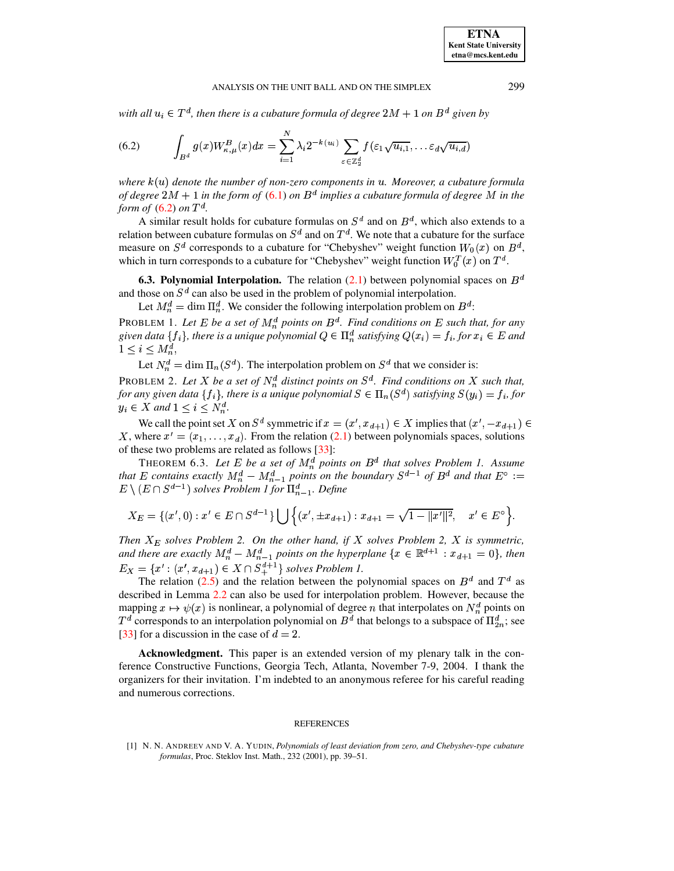with all  $u_i \in T^d$ , then there is a cubature formula of degree  $2M + 1$  on  $B^d$  given by

(6.2) 
$$
\int_{B^d} g(x) W_{\kappa,\mu}^B(x) dx = \sum_{i=1}^N \lambda_i 2^{-k(u_i)} \sum_{\varepsilon \in \mathbb{Z}_2^d} f(\varepsilon_1 \sqrt{u_{i,1}}, \dots \varepsilon_d \sqrt{u_{i,d}})
$$

 $where  $k(u)$  denote the number of non-zero components in  $u$ . Moreover, a cubature formula$ *of* degree  $2M + 1$  *in the form of* [\(6.1\)](#page-14-1) *on*  $B^d$  *implies a cubature formula of degree*  $M$  *in the form of*  $(6.2)$  *on*  $T<sup>d</sup>$ .

A similar result holds for cubature formulas on  $S^d$  and on  $B^d$ , which also extends to a relation between cubature formulas on  $S^d$  and on  $T^d$ . We note that a cubature for the surface measure on  $S^d$  corresponds to a cubature for "Chebyshev" weight function  $W_0(x)$  on  $B^d$ , which in turn corresponds to a cubature for "Chebyshev" weight function  $W_0^T(x)$  on  $T^d$ .

**6.3. Polynomial Interpolation.** The relation  $(2.1)$  between polynomial spaces on  $B<sup>d</sup>$ and those on  $S<sup>d</sup>$  can also be used in the problem of polynomial interpolation.

Let  $M_n^d = \dim \Pi_n^d$ . We consider the following interpolation problem on  $B^d$ :

PROBLEM 1. Let E be a set of  $M_n^d$  points on  $B^d$ . Find conditions on E such that, for any given data {  $f_i$ }, there is a unique polynomial  $Q \in \Pi_n^d$  satisfying  $Q(x_i) = f_i$ , for  $x_i \in E$  and  $\blacksquare$ ,  $\blacksquare$ ,  $\blacksquare$ ,  $\blacksquare$ ,  $\blacksquare$ ,  $\blacksquare$ ,  $\blacksquare$ ,  $\blacksquare$ ,  $\blacksquare$ ,  $\blacksquare$ ,  $\blacksquare$ ,  $\blacksquare$ ,  $\blacksquare$ ,  $\blacksquare$ ,  $\blacksquare$ ,  $\blacksquare$ ,  $\blacksquare$ ,  $\blacksquare$ ,  $\blacksquare$ ,  $\blacksquare$ ,  $\blacksquare$ ,  $\blacksquare$ ,  $\blacksquare$ ,  $\blacksquare$ ,  $\blacksquare$ ,  $\blacksquare$ ,  $\blacksquare$ ,  $\blacksquare$ 

Let  $N_n^d = \dim \Pi_n(S^d)$ . The interpolation problem on  $S^d$  that we consider is:

PROBLEM 2. Let X be a set of  $N_n^d$  distinct points on  $S^d$ . Find conditions on X such that, for any given data {  $f_i$ }, there is a unique polynomial  $S \in \Pi_n(S^d)$  satisfying  $S(y_i) = f_i$ , for  $y_i \in X$  and  $1 \leq i \leq N_n^d$ .

We call the point set X on  $S^d$  symmetric if  $x = (x', x_{d+1}) \in X$  implies that  $(x', -x_{d+1}) \in X$ X, where  $x' = (x_1, \ldots, x_d)$ . From the relation [\(2.1\)](#page-1-0) between polynomials spaces, solutions of these two problems are related as follows [\[33\]](#page-17-3):

**THEOREM 6.3.** Let E be a set of  $M_n^d$  points on  $B^d$  that solves Problem 1. Assume *that* E contains exactly  $M_n^d - M_{n-1}^d$  points on the boundary  $S^{d-1}$  of  $B^d$  and that  $E^{\circ} :=$  $E \setminus (E \cap S^{d-1})$  solves Problem 1 for  $\prod_{n=1}^d$ . Define

$$
X_E = \{(x', 0) : x' \in E \cap S^{d-1}\} \bigcup \left\{(x', \pm x_{d+1}) : x_{d+1} = \sqrt{1 - ||x'||^2}, \quad x' \in E^{\circ}\right\}.
$$

*Then*  $X_E$  *solves Problem* 2. On the other hand, if X *solves Problem* 2, X is *symmetric*, *and there are exactly*  $M_n^d - M_{n-1}^d$  *points on the hyperplane*  $\{x \in \mathbb{R}^{d+1} : x_{d+1} = 0\}$ , then  $E_X = \{x' : (x', x_{d+1}) \in X \cap S_+^{d+1}\}\$  solves Problem 1.

The relation [\(2.5\)](#page-2-3) and the relation between the polynomial spaces on  $B^d$  and  $T^d$  as described in Lemma [2.2](#page-2-5) can also be used for interpolation problem. However, because the mapping  $x \mapsto \psi(x)$  is nonlinear, a polynomial of degree *n* that interpolates on  $N_n^d$  points on  $T^d$  corresponds to an interpolation polynomial on  $B^d$  that belongs to a subspace of  $\Pi_{2n}^d$ ; see [\[33\]](#page-17-3) for a discussion in the case of  $d = 2$ .

**Acknowledgment.** This paper is an extended version of my plenary talk in the conference Constructive Functions, Georgia Tech, Atlanta, November 7-9, 2004. I thank the organizers for their invitation. I'm indebted to an anonymous referee for his careful reading and numerous corrections.

#### **REFERENCES**

<span id="page-15-0"></span>[1] N. N. ANDREEV AND V. A. YUDIN, *Polynomials of least deviation from zero, and Chebyshev-type cubature formulas*, Proc. Steklov Inst. Math., 232 (2001), pp. 39–51.

<span id="page-15-1"></span>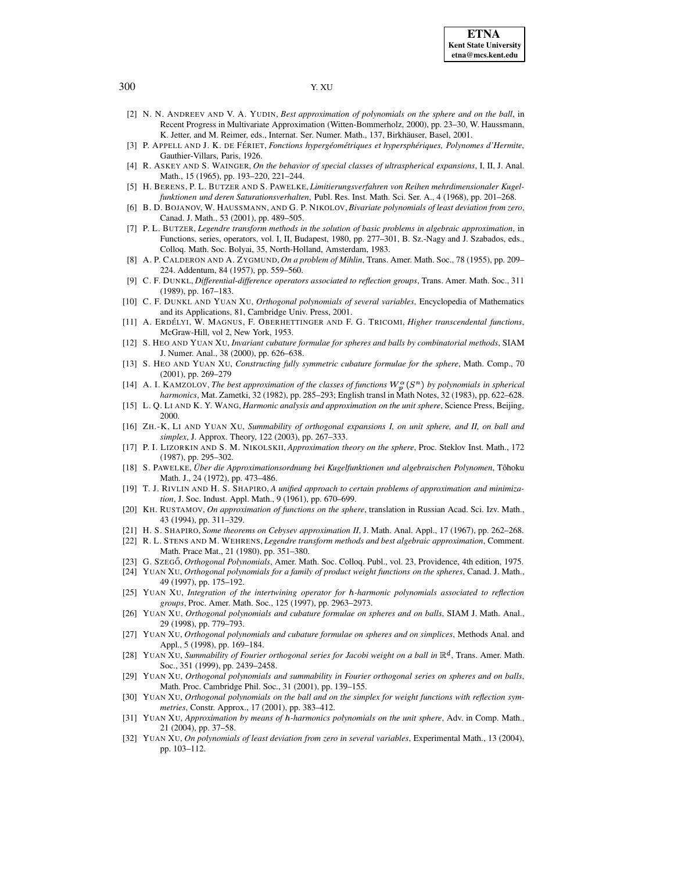- <span id="page-16-24"></span>[2] N. N. ANDREEV AND V. A. YUDIN, *Best approximation of polynomials on the sphere and on the ball*, in Recent Progress in Multivariate Approximation (Witten-Bommerholz, 2000), pp. 23–30, W. Haussmann, K. Jetter, and M. Reimer, eds., Internat. Ser. Numer. Math., 137, Birkhäuser, Basel, 2001.
- <span id="page-16-18"></span><span id="page-16-15"></span>[3] P. APPELL AND J. K. DE FE´ RIET, *Fonctions hypergeom ´ etriques ´ et hyperspheriques, ´ Polynomes d'Hermite*, Gauthier-Villars, Paris, 1926.
- [4] R. ASKEY AND S. WAINGER, *On the behavior of special classes of ultraspherical expansions*, I, II, J. Anal. Math., 15 (1965), pp. 193–220, 221–244.
- <span id="page-16-9"></span>[5] H. BERENS, P. L. BUTZER AND S. PAWELKE, *Limitierungsverfahren von Reihen mehrdimensionaler Kugelfunktionen und deren Saturationsverhalten*, Publ. Res. Inst. Math. Sci. Ser. A., 4 (1968), pp. 201–268.
- <span id="page-16-23"></span>[6] B. D. BOJANOV, W. HAUSSMANN, AND G. P. NIKOLOV, *Bivariate polynomials of least deviation from zero*, Canad. J. Math., 53 (2001), pp. 489–505.
- <span id="page-16-19"></span>[7] P. L. BUTZER, *Legendre transform methods in the solution of basic problems in algebraic approximation*, in Functions, series, operators, vol. I, II, Budapest, 1980, pp. 277–301, B. Sz.-Nagy and J. Szabados, eds., Colloq. Math. Soc. Bolyai, 35, North-Holland, Amsterdam, 1983.
- <span id="page-16-7"></span>[8] A. P. CALDERON AND A. ZYGMUND, *On a problem of Mihlin*, Trans. Amer. Math. Soc., 78 (1955), pp. 209– 224. Addentum, 84 (1957), pp. 559–560.
- <span id="page-16-2"></span>[9] C. F. DUNKL, *Differential-difference operators associated to reflection groups*, Trans. Amer. Math. Soc., 311 (1989), pp. 167–183.
- <span id="page-16-3"></span>[10] C. F. DUNKL AND YUAN XU, *Orthogonal polynomials of several variables*, Encyclopedia of Mathematics and its Applications, 81, Cambridge Univ. Press, 2001.
- <span id="page-16-16"></span>[11] A. ERDE´ LYI, W. MAGNUS, F. OBERHETTINGER AND F. G. TRICOMI, *Higher transcendental functions*, McGraw-Hill, vol 2, New York, 1953.
- <span id="page-16-27"></span>[12] S. HEO AND YUAN XU, *Invariant cubature formulae for spheres and balls by combinatorial methods*, SIAM J. Numer. Anal., 38 (2000), pp. 626–638.
- <span id="page-16-28"></span>[13] S. HEO AND YUAN XU, *Constructing fully symmetric cubature formulae for the sphere*, Math. Comp., 70 (2001), pp. 269–279
- <span id="page-16-14"></span>[14] A. I. KAMZOLOV, *The best approximation of the classes of functions*  $W_n^{\alpha}(S^n)$  *by polynomials in spherical harmonics*, Mat. Zametki, 32 (1982), pp. 285–293; English transl in Math Notes, 32 (1983), pp. 622–628.
- <span id="page-16-13"></span>[15] L. Q. LI AND K. Y. WANG, *Harmonic analysis and approximation on the unit sphere*, Science Press, Beijing, 2000.
- <span id="page-16-21"></span>[16] ZH.-K, LI AND YUAN XU, *Summability of orthogonal expansions I, on unit sphere, and II, on ball and simplex*, J. Approx. Theory, 122 (2003), pp. 267–333.
- <span id="page-16-11"></span>[17] P. I. LIZORKIN AND S. M. NIKOLSKII, *Approximation theory on the sphere*, Proc. Steklov Inst. Math., 172 (1987), pp. 295–302.
- <span id="page-16-10"></span>[18] S. PAWELKE, *Uber ¨ die Approximationsordnung bei Kugelfunktionen und algebraischen Polynomen*, Tohoku ˆ Math. J., 24 (1972), pp. 473–486.
- <span id="page-16-25"></span>[19] T. J. RIVLIN AND H. S. SHAPIRO, *A unified approach to certain problems of approximation and minimization*, J. Soc. Indust. Appl. Math., 9 (1961), pp. 670–699.
- <span id="page-16-12"></span>[20] KH. RUSTAMOV, *On approximation of functions on the sphere*, translation in Russian Acad. Sci. Izv. Math., 43 (1994), pp. 311–329.
- <span id="page-16-26"></span><span id="page-16-20"></span>[21] H. S. SHAPIRO, *Some theorems on Cebysev approximation II*, J. Math. Anal. Appl., 17 (1967), pp. 262–268.
- [22] R. L. STENS AND M. WEHRENS, *Legendre transform methods and best algebraic approximation*, Comment. Math. Prace Mat., 21 (1980), pp. 351–380.
- <span id="page-16-6"></span>[23] G. SZEGO˝, *Orthogonal Polynomials*, Amer. Math. Soc. Colloq. Publ., vol. 23, Providence, 4th edition, 1975.
- [24] YUAN XU, *Orthogonal polynomials for a family of product weight functions on the spheres*, Canad. J. Math., 49 (1997), pp. 175–192.
- <span id="page-16-5"></span>[25] YUAN XU, *Integration of the intertwining operator for -harmonic polynomials associated to reflection groups*, Proc. Amer. Math. Soc., 125 (1997), pp. 2963–2973.
- <span id="page-16-0"></span>[26] YUAN XU, *Orthogonal polynomials and cubature formulae on spheres and on balls*, SIAM J. Math. Anal., 29 (1998), pp. 779–793.
- <span id="page-16-17"></span><span id="page-16-1"></span>[27] YUAN XU, *Orthogonal polynomials and cubature formulae on spheres and on simplices*, Methods Anal. and Appl., 5 (1998), pp. 169–184.
- [28] YUAN XU, *Summability of Fourier orthogonal series for Jacobi weight on a ball in*  $\mathbb{R}^d$ , Trans. Amer. Math. Soc., 351 (1999), pp. 2439–2458.
- <span id="page-16-8"></span>[29] YUAN XU, *Orthogonal polynomials and summability in Fourier orthogonal series on spheres and on balls*, Math. Proc. Cambridge Phil. Soc., 31 (2001), pp. 139–155.
- <span id="page-16-4"></span>[30] YUAN XU, *Orthogonal polynomials on the ball and on the simplex for weight functions with reflection symmetries*, Constr. Approx., 17 (2001), pp. 383–412.
- [31] YUAN XU, *Approximation by means of -harmonics polynomials on the unit sphere*, Adv. in Comp. Math., 21 (2004), pp. 37–58.
- <span id="page-16-22"></span>[32] YUAN XU, *On polynomials of least deviation from zero in several variables*, Experimental Math., 13 (2004), pp. 103–112.